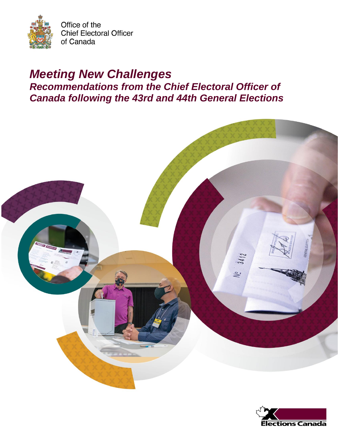

# *Meeting New Challenges Recommendations from the Chief Electoral Officer of Canada following the 43rd and 44th General Elections*



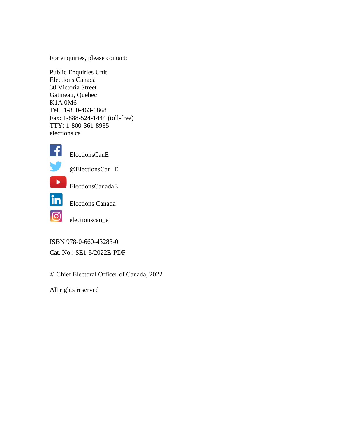For enquiries, please contact:

Public Enquiries Unit Elections Canada 30 Victoria Street Gatineau, Quebec K1A 0M6 Tel.: 1-800-463-6868 Fax: 1-888-524-1444 (toll-free) TTY: 1-800-361-8935 elections.ca



ElectionsCanE



@ElectionsCan\_E



ElectionsCanadaE



Elections Canada

electionscan\_e

ISBN 978-0-660-43283-0

Cat. No.: SE1-5/2022E-PDF

© Chief Electoral Officer of Canada, 2022

All rights reserved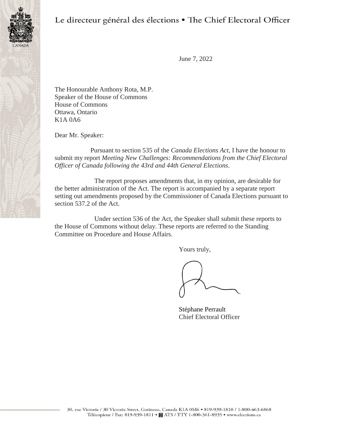

Le directeur général des élections · The Chief Electoral Officer

June 7, 2022

The Honourable Anthony Rota, M.P. Speaker of the House of Commons House of Commons Ottawa, Ontario K1A 0A6

Dear Mr. Speaker:

Pursuant to section 535 of the *Canada Elections Act*, I have the honour to submit my report *Meeting New Challenges: Recommendations from the Chief Electoral Officer of Canada following the 43rd and 44th General Elections*.

The report proposes amendments that, in my opinion, are desirable for the better administration of the Act. The report is accompanied by a separate report setting out amendments proposed by the Commissioner of Canada Elections pursuant to section 537.2 of the Act.

Under section 536 of the Act, the Speaker shall submit these reports to the House of Commons without delay. These reports are referred to the Standing Committee on Procedure and House Affairs.

Yours truly,

Stéphane Perrault Chief Electoral Officer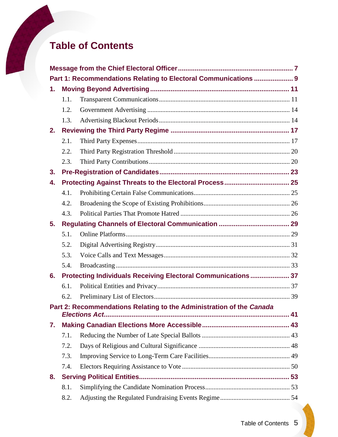# **Table of Contents**

|    |      | Part 1: Recommendations Relating to Electoral Communications  9      |  |  |  |
|----|------|----------------------------------------------------------------------|--|--|--|
| 1. |      |                                                                      |  |  |  |
|    | 1.1. |                                                                      |  |  |  |
|    | 1.2. |                                                                      |  |  |  |
|    | 1.3. |                                                                      |  |  |  |
| 2. |      |                                                                      |  |  |  |
|    | 2.1. |                                                                      |  |  |  |
|    | 2.2. |                                                                      |  |  |  |
|    | 2.3. |                                                                      |  |  |  |
| 3. |      |                                                                      |  |  |  |
| 4. |      |                                                                      |  |  |  |
|    | 4.1. |                                                                      |  |  |  |
|    | 4.2. |                                                                      |  |  |  |
|    | 4.3. |                                                                      |  |  |  |
| 5. |      |                                                                      |  |  |  |
|    | 5.1. |                                                                      |  |  |  |
|    | 5.2. |                                                                      |  |  |  |
|    | 5.3. |                                                                      |  |  |  |
|    | 5.4. |                                                                      |  |  |  |
| 6. |      | Protecting Individuals Receiving Electoral Communications  37        |  |  |  |
|    | 6.1. |                                                                      |  |  |  |
|    | 6.2. |                                                                      |  |  |  |
|    |      | Part 2: Recommendations Relating to the Administration of the Canada |  |  |  |
|    |      |                                                                      |  |  |  |
| 7. |      |                                                                      |  |  |  |
|    | 7.1. |                                                                      |  |  |  |
|    | 7.2. |                                                                      |  |  |  |
|    | 7.3. |                                                                      |  |  |  |
|    | 7.4. |                                                                      |  |  |  |
| 8. |      |                                                                      |  |  |  |
|    | 8.1. |                                                                      |  |  |  |
|    | 8.2. |                                                                      |  |  |  |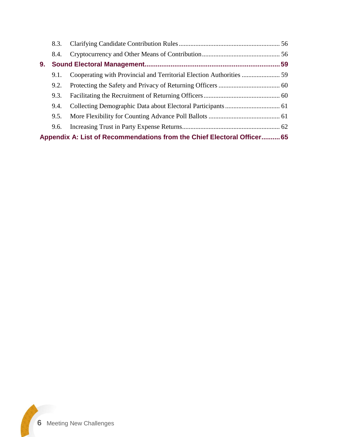|                                                                         | 8.3. |  |  |  |  |
|-------------------------------------------------------------------------|------|--|--|--|--|
|                                                                         | 8.4. |  |  |  |  |
| 9.                                                                      |      |  |  |  |  |
|                                                                         | 9.1. |  |  |  |  |
|                                                                         | 9.2. |  |  |  |  |
|                                                                         | 9.3. |  |  |  |  |
|                                                                         | 9.4. |  |  |  |  |
|                                                                         | 9.5. |  |  |  |  |
|                                                                         | 9.6. |  |  |  |  |
| Appendix A: List of Recommendations from the Chief Electoral Officer 65 |      |  |  |  |  |

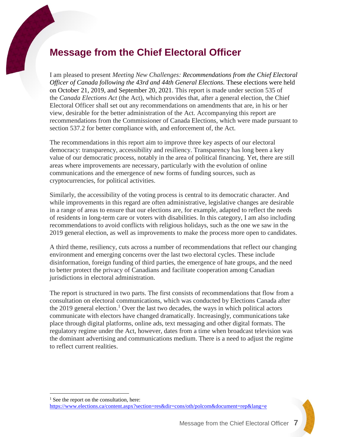# <span id="page-6-0"></span>**Message from the Chief Electoral Officer**

I am pleased to present *Meeting New Challenges: Recommendations from the Chief Electoral Officer of Canada following the 43rd and 44th General Elections.* These elections were held on October 21, 2019, and September 20, 2021. This report is made under section 535 of the *Canada Elections Act* (the Act), which provides that, after a general election, the Chief Electoral Officer shall set out any recommendations on amendments that are, in his or her view, desirable for the better administration of the Act. Accompanying this report are recommendations from the Commissioner of Canada Elections, which were made pursuant to section 537.2 for better compliance with, and enforcement of, the Act.

The recommendations in this report aim to improve three key aspects of our electoral democracy: transparency, accessibility and resiliency. Transparency has long been a key value of our democratic process, notably in the area of political financing. Yet, there are still areas where improvements are necessary, particularly with the evolution of online communications and the emergence of new forms of funding sources, such as cryptocurrencies, for political activities.

Similarly, the accessibility of the voting process is central to its democratic character. And while improvements in this regard are often administrative, legislative changes are desirable in a range of areas to ensure that our elections are, for example, adapted to reflect the needs of residents in long-term care or voters with disabilities. In this category, I am also including recommendations to avoid conflicts with religious holidays, such as the one we saw in the 2019 general election, as well as improvements to make the process more open to candidates.

A third theme, resiliency, cuts across a number of recommendations that reflect our changing environment and emerging concerns over the last two electoral cycles. These include disinformation, foreign funding of third parties, the emergence of hate groups, and the need to better protect the privacy of Canadians and facilitate cooperation among Canadian jurisdictions in electoral administration.

The report is structured in two parts. The first consists of recommendations that flow from a consultation on electoral communications, which was conducted by Elections Canada after the 2019 general election. <sup>1</sup> Over the last two decades, the ways in which political actors communicate with electors have changed dramatically. Increasingly, communications take place through digital platforms, online ads, text messaging and other digital formats. The regulatory regime under the Act, however, dates from a time when broadcast television was the dominant advertising and communications medium. There is a need to adjust the regime to reflect current realities.

 $<sup>1</sup>$  See the report on the consultation, here:</sup> <https://www.elections.ca/content.aspx?section=res&dir=cons/oth/polcom&document=rep&lang=e>

 $\overline{a}$ 

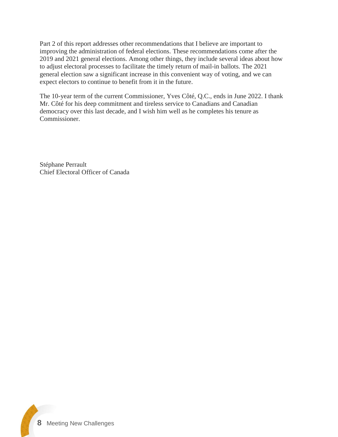Part 2 of this report addresses other recommendations that I believe are important to improving the administration of federal elections. These recommendations come after the 2019 and 2021 general elections. Among other things, they include several ideas about how to adjust electoral processes to facilitate the timely return of mail-in ballots. The 2021 general election saw a significant increase in this convenient way of voting, and we can expect electors to continue to benefit from it in the future.

The 10-year term of the current Commissioner, Yves Côté, Q.C., ends in June 2022. I thank Mr. Côté for his deep commitment and tireless service to Canadians and Canadian democracy over this last decade, and I wish him well as he completes his tenure as Commissioner.

Stéphane Perrault Chief Electoral Officer of Canada

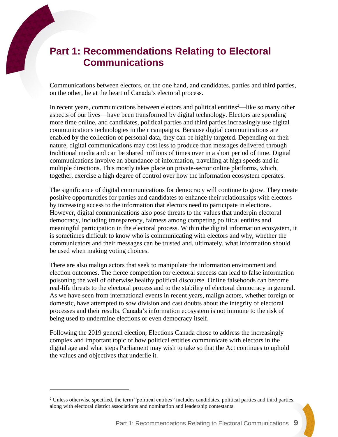# <span id="page-8-0"></span>**Part 1: Recommendations Relating to Electoral Communications**

Communications between electors, on the one hand, and candidates, parties and third parties, on the other, lie at the heart of Canada's electoral process.

In recent years, communications between electors and political entities<sup>2—like</sup> so many other aspects of our lives—have been transformed by digital technology. Electors are spending more time online, and candidates, political parties and third parties increasingly use digital communications technologies in their campaigns. Because digital communications are enabled by the collection of personal data, they can be highly targeted. Depending on their nature, digital communications may cost less to produce than messages delivered through traditional media and can be shared millions of times over in a short period of time. Digital communications involve an abundance of information, travelling at high speeds and in multiple directions. This mostly takes place on private-sector online platforms, which, together, exercise a high degree of control over how the information ecosystem operates.

The significance of digital communications for democracy will continue to grow. They create positive opportunities for parties and candidates to enhance their relationships with electors by increasing access to the information that electors need to participate in elections. However, digital communications also pose threats to the values that underpin electoral democracy, including transparency, fairness among competing political entities and meaningful participation in the electoral process. Within the digital information ecosystem, it is sometimes difficult to know who is communicating with electors and why, whether the communicators and their messages can be trusted and, ultimately, what information should be used when making voting choices.

There are also malign actors that seek to manipulate the information environment and election outcomes. The fierce competition for electoral success can lead to false information poisoning the well of otherwise healthy political discourse. Online falsehoods can become real-life threats to the electoral process and to the stability of electoral democracy in general. As we have seen from international events in recent years, malign actors, whether foreign or domestic, have attempted to sow division and cast doubts about the integrity of electoral processes and their results. Canada's information ecosystem is not immune to the risk of being used to undermine elections or even democracy itself.

Following the 2019 general election, Elections Canada chose to address the increasingly complex and important topic of how political entities communicate with electors in the digital age and what steps Parliament may wish to take so that the Act continues to uphold the values and objectives that underlie it.

 $\overline{a}$ 

<sup>&</sup>lt;sup>2</sup> Unless otherwise specified, the term "political entities" includes candidates, political parties and third parties, along with electoral district associations and nomination and leadership contestants.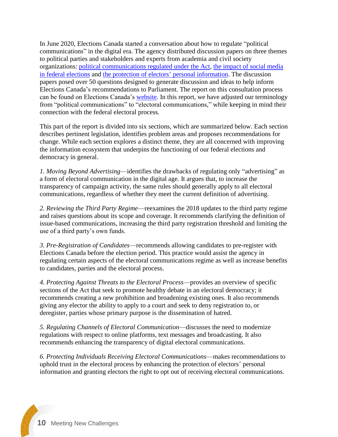In June 2020, Elections Canada started a conversation about how to regulate "political communications" in the digital era. The agency distributed discussion papers on three themes to political parties and stakeholders and experts from academia and civil society organizations: [political communications regulated under the Act,](https://www.elections.ca/content.aspx?section=res&dir=cons/dis/compol/dis1&document=index&lang=e) [the impact of social media](https://www.elections.ca/content.aspx?section=res&dir=cons/dis/compol/dis2&document=index&lang=e)  [in federal elections](https://www.elections.ca/content.aspx?section=res&dir=cons/dis/compol/dis2&document=index&lang=e) and [the protection of electors'](https://www.elections.ca/content.aspx?section=res&dir=cons/dis/compol/dis3&document=index&lang=e) personal information. The discussion papers posed over 50 questions designed to generate discussion and ideas to help inform Elections Canada's recommendations to Parliament. The report on this consultation process can be found on Elections Canada's [website.](https://www.elections.ca/content.aspx?section=res&dir=cons/oth/polcom&document=rep&lang=e) In this report, we have adjusted our terminology from "political communications" to "electoral communications," while keeping in mind their connection with the federal electoral process.

This part of the report is divided into six sections, which are summarized below. Each section describes pertinent legislation, identifies problem areas and proposes recommendations for change. While each section explores a distinct theme, they are all concerned with improving the information ecosystem that underpins the functioning of our federal elections and democracy in general.

*1. Moving Beyond Advertising*—identifies the drawbacks of regulating only "advertising" as a form of electoral communication in the digital age. It argues that, to increase the transparency of campaign activity, the same rules should generally apply to all electoral communications, regardless of whether they meet the current definition of advertising.

*2. Reviewing the Third Party Regime*—reexamines the 2018 updates to the third party regime and raises questions about its scope and coverage. It recommends clarifying the definition of issue-based communications, increasing the third party registration threshold and limiting the use of a third party's own funds.

*3. Pre-Registration of Candidates*—recommends allowing candidates to pre-register with Elections Canada before the election period. This practice would assist the agency in regulating certain aspects of the electoral communications regime as well as increase benefits to candidates, parties and the electoral process.

*4. Protecting Against Threats to the Electoral Process*—provides an overview of specific sections of the Act that seek to promote healthy debate in an electoral democracy; it recommends creating a new prohibition and broadening existing ones. It also recommends giving any elector the ability to apply to a court and seek to deny registration to, or deregister, parties whose primary purpose is the dissemination of hatred.

*5. Regulating Channels of Electoral Communication*—discusses the need to modernize regulations with respect to online platforms, text messages and broadcasting. It also recommends enhancing the transparency of digital electoral communications.

*6. Protecting Individuals Receiving Electoral Communications*—makes recommendations to uphold trust in the electoral process by enhancing the protection of electors' personal information and granting electors the right to opt out of receiving electoral communications.

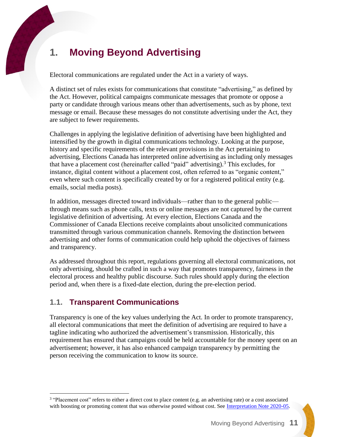# <span id="page-10-0"></span>**1. Moving Beyond Advertising**

Electoral communications are regulated under the Act in a variety of ways.

A distinct set of rules exists for communications that constitute "advertising," as defined by the Act. However, political campaigns communicate messages that promote or oppose a party or candidate through various means other than advertisements, such as by phone, text message or email. Because these messages do not constitute advertising under the Act, they are subject to fewer requirements.

Challenges in applying the legislative definition of advertising have been highlighted and intensified by the growth in digital communications technology. Looking at the purpose, history and specific requirements of the relevant provisions in the Act pertaining to advertising, Elections Canada has interpreted online advertising as including only messages that have a placement cost (hereinafter called "paid" advertising). <sup>3</sup> This excludes, for instance, digital content without a placement cost, often referred to as "organic content," even where such content is specifically created by or for a registered political entity (e.g. emails, social media posts).

In addition, messages directed toward individuals—rather than to the general public through means such as phone calls, texts or online messages are not captured by the current legislative definition of advertising. At every election, Elections Canada and the Commissioner of Canada Elections receive complaints about unsolicited communications transmitted through various communication channels. Removing the distinction between advertising and other forms of communication could help uphold the objectives of fairness and transparency.

As addressed throughout this report, regulations governing all electoral communications, not only advertising, should be crafted in such a way that promotes transparency, fairness in the electoral process and healthy public discourse. Such rules should apply during the election period and, when there is a fixed-date election, during the pre-election period.

# <span id="page-10-1"></span>**1.1. Transparent Communications**

 $\overline{a}$ 

Transparency is one of the key values underlying the Act. In order to promote transparency, all electoral communications that meet the definition of advertising are required to have a tagline indicating who authorized the advertisement's transmission. Historically, this requirement has ensured that campaigns could be held accountable for the money spent on an advertisement; however, it has also enhanced campaign transparency by permitting the person receiving the communication to know its source.

<sup>&</sup>lt;sup>3</sup> "Placement cost" refers to either a direct cost to place content (e.g. an advertising rate) or a cost associated with boosting or promoting content that was otherwise posted without cost. See [Interpretation Note 2020-05.](https://www.elections.ca/content.aspx?section=res&dir=gui/app/2020-05&document=index&lang=e)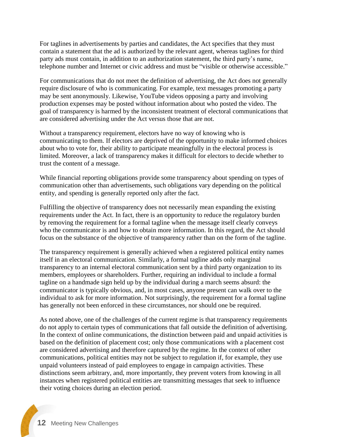For taglines in advertisements by parties and candidates, the Act specifies that they must contain a statement that the ad is authorized by the relevant agent, whereas taglines for third party ads must contain, in addition to an authorization statement, the third party's name, telephone number and Internet or civic address and must be "visible or otherwise accessible."

For communications that do not meet the definition of advertising, the Act does not generally require disclosure of who is communicating. For example, text messages promoting a party may be sent anonymously. Likewise, YouTube videos opposing a party and involving production expenses may be posted without information about who posted the video. The goal of transparency is harmed by the inconsistent treatment of electoral communications that are considered advertising under the Act versus those that are not.

Without a transparency requirement, electors have no way of knowing who is communicating to them. If electors are deprived of the opportunity to make informed choices about who to vote for, their ability to participate meaningfully in the electoral process is limited. Moreover, a lack of transparency makes it difficult for electors to decide whether to trust the content of a message.

While financial reporting obligations provide some transparency about spending on types of communication other than advertisements, such obligations vary depending on the political entity, and spending is generally reported only after the fact.

Fulfilling the objective of transparency does not necessarily mean expanding the existing requirements under the Act. In fact, there is an opportunity to reduce the regulatory burden by removing the requirement for a formal tagline when the message itself clearly conveys who the communicator is and how to obtain more information. In this regard, the Act should focus on the substance of the objective of transparency rather than on the form of the tagline.

The transparency requirement is generally achieved when a registered political entity names itself in an electoral communication. Similarly, a formal tagline adds only marginal transparency to an internal electoral communication sent by a third party organization to its members, employees or shareholders. Further, requiring an individual to include a formal tagline on a handmade sign held up by the individual during a march seems absurd: the communicator is typically obvious, and, in most cases, anyone present can walk over to the individual to ask for more information. Not surprisingly, the requirement for a formal tagline has generally not been enforced in these circumstances, nor should one be required.

As noted above, one of the challenges of the current regime is that transparency requirements do not apply to certain types of communications that fall outside the definition of advertising. In the context of online communications, the distinction between paid and unpaid activities is based on the definition of placement cost; only those communications with a placement cost are considered advertising and therefore captured by the regime. In the context of other communications, political entities may not be subject to regulation if, for example, they use unpaid volunteers instead of paid employees to engage in campaign activities. These distinctions seem arbitrary, and, more importantly, they prevent voters from knowing in all instances when registered political entities are transmitting messages that seek to influence their voting choices during an election period.

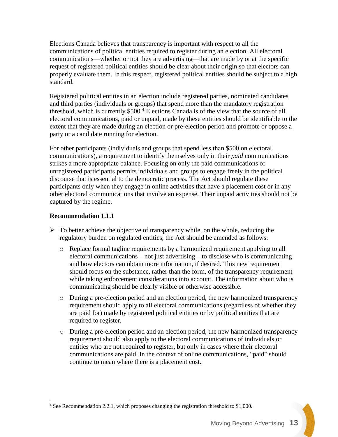Elections Canada believes that transparency is important with respect to all the communications of political entities required to register during an election. All electoral communications—whether or not they are advertising—that are made by or at the specific request of registered political entities should be clear about their origin so that electors can properly evaluate them. In this respect, registered political entities should be subject to a high standard.

Registered political entities in an election include registered parties, nominated candidates and third parties (individuals or groups) that spend more than the mandatory registration threshold, which is currently  $$500.<sup>4</sup>$  Elections Canada is of the view that the source of all electoral communications, paid or unpaid, made by these entities should be identifiable to the extent that they are made during an election or pre-election period and promote or oppose a party or a candidate running for election.

For other participants (individuals and groups that spend less than \$500 on electoral communications), a requirement to identify themselves only in their *paid* communications strikes a more appropriate balance. Focusing on only the paid communications of unregistered participants permits individuals and groups to engage freely in the political discourse that is essential to the democratic process. The Act should regulate these participants only when they engage in online activities that have a placement cost or in any other electoral communications that involve an expense. Their unpaid activities should not be captured by the regime.

### **Recommendation 1.1.1**

 $\overline{a}$ 

- $\triangleright$  To better achieve the objective of transparency while, on the whole, reducing the regulatory burden on regulated entities, the Act should be amended as follows:
	- o Replace formal tagline requirements by a harmonized requirement applying to all electoral communications—not just advertising—to disclose who is communicating and how electors can obtain more information, if desired. This new requirement should focus on the substance, rather than the form, of the transparency requirement while taking enforcement considerations into account. The information about who is communicating should be clearly visible or otherwise accessible.
	- o During a pre-election period and an election period, the new harmonized transparency requirement should apply to all electoral communications (regardless of whether they are paid for) made by registered political entities or by political entities that are required to register.
	- o During a pre-election period and an election period, the new harmonized transparency requirement should also apply to the electoral communications of individuals or entities who are not required to register, but only in cases where their electoral communications are paid. In the context of online communications, "paid" should continue to mean where there is a placement cost.

<sup>&</sup>lt;sup>4</sup> See Recommendation 2.2.1, which proposes changing the registration threshold to \$1,000.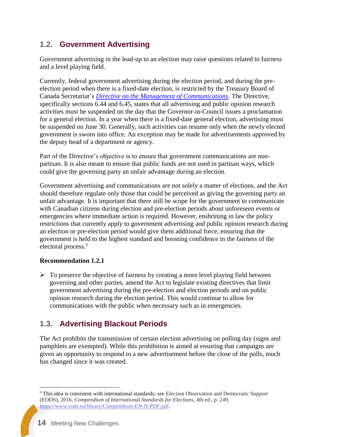### <span id="page-13-0"></span>**1.2. Government Advertising**

Government advertising in the lead-up to an election may raise questions related to fairness and a level playing field.

Currently, federal government advertising during the election period, and during the preelection period when there is a fixed-date election, is restricted by the Treasury Board of Canada Secretariat's *[Directive on the Management of Communications](https://www.tbs-sct.gc.ca/pol/doc-eng.aspx?id=30682)*. The Directive, specifically sections 6.44 and 6.45, states that all advertising and public opinion research activities must be suspended on the day that the Governor-in-Council issues a proclamation for a general election. In a year when there is a fixed-date general election, advertising must be suspended on June 30. Generally, such activities can resume only when the newly elected government is sworn into office. An exception may be made for advertisements approved by the deputy head of a department or agency.

Part of the Directive's objective is to ensure that government communications are nonpartisan. It is also meant to ensure that public funds are not used in partisan ways, which could give the governing party an unfair advantage during an election.

Government advertising and communications are not solely a matter of elections, and the Act should therefore regulate only those that could be perceived as giving the governing party an unfair advantage. It is important that there still be scope for the government to communicate with Canadian citizens during election and pre-election periods about unforeseen events or emergencies where immediate action is required. However, enshrining in law the policy restrictions that currently apply to government advertising and public opinion research during an election or pre-election period would give them additional force, ensuring that the government is held to the highest standard and boosting confidence in the fairness of the electoral process.<sup>5</sup>

### **Recommendation 1.2.1**

 $\triangleright$  To preserve the objective of fairness by creating a more level playing field between governing and other parties, amend the Act to legislate existing directives that limit government advertising during the pre-election and election periods and on public opinion research during the election period. This would continue to allow for communications with the public when necessary such as in emergencies.

# <span id="page-13-1"></span>**1.3. Advertising Blackout Periods**

The Act prohibits the transmission of certain election advertising on polling day (signs and pamphlets are exempted). While this prohibition is aimed at ensuring that campaigns are given an opportunity to respond to a new advertisement before the close of the polls, much has changed since it was created.

 $\overline{a}$ <sup>5</sup> This idea is consistent with international standards; see Election Observation and Democratic Support (EODS), 2016, *Compendium of International Standards for Elections*, 4th ed., p. 249, [https://www.eods.eu/library/Compendium-EN-N-PDF.pdf.](https://www.eods.eu/library/Compendium-EN-N-PDF.pdf)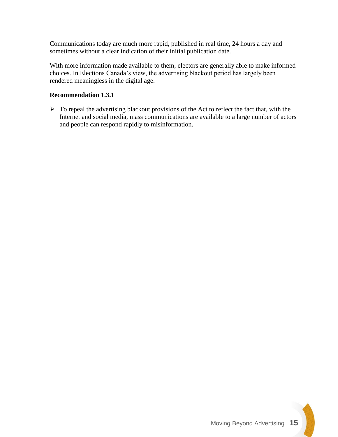Communications today are much more rapid, published in real time, 24 hours a day and sometimes without a clear indication of their initial publication date.

With more information made available to them, electors are generally able to make informed choices. In Elections Canada's view, the advertising blackout period has largely been rendered meaningless in the digital age.

### **Recommendation 1.3.1**

 $\triangleright$  To repeal the advertising blackout provisions of the Act to reflect the fact that, with the Internet and social media, mass communications are available to a large number of actors and people can respond rapidly to misinformation.

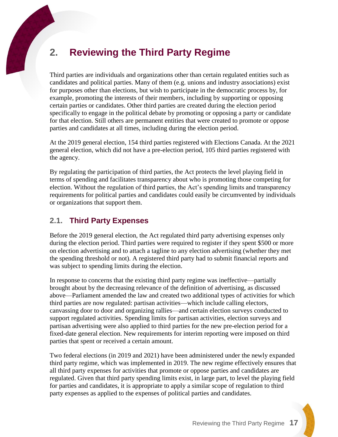# <span id="page-16-0"></span>**2. Reviewing the Third Party Regime**

Third parties are individuals and organizations other than certain regulated entities such as candidates and political parties. Many of them (e.g. unions and industry associations) exist for purposes other than elections, but wish to participate in the democratic process by, for example, promoting the interests of their members, including by supporting or opposing certain parties or candidates. Other third parties are created during the election period specifically to engage in the political debate by promoting or opposing a party or candidate for that election. Still others are permanent entities that were created to promote or oppose parties and candidates at all times, including during the election period.

At the 2019 general election, 154 third parties registered with Elections Canada. At the 2021 general election, which did not have a pre-election period, 105 third parties registered with the agency.

By regulating the participation of third parties, the Act protects the level playing field in terms of spending and facilitates transparency about who is promoting those competing for election. Without the regulation of third parties, the Act's spending limits and transparency requirements for political parties and candidates could easily be circumvented by individuals or organizations that support them.

# <span id="page-16-1"></span>**2.1. Third Party Expenses**

Before the 2019 general election, the Act regulated third party advertising expenses only during the election period. Third parties were required to register if they spent \$500 or more on election advertising and to attach a tagline to any election advertising (whether they met the spending threshold or not). A registered third party had to submit financial reports and was subject to spending limits during the election.

In response to concerns that the existing third party regime was ineffective—partially brought about by the decreasing relevance of the definition of advertising, as discussed above—Parliament amended the law and created two additional types of activities for which third parties are now regulated: partisan activities—which include calling electors, canvassing door to door and organizing rallies—and certain election surveys conducted to support regulated activities. Spending limits for partisan activities, election surveys and partisan advertising were also applied to third parties for the new pre-election period for a fixed-date general election. New requirements for interim reporting were imposed on third parties that spent or received a certain amount.

Two federal elections (in 2019 and 2021) have been administered under the newly expanded third party regime, which was implemented in 2019. The new regime effectively ensures that all third party expenses for activities that promote or oppose parties and candidates are regulated. Given that third party spending limits exist, in large part, to level the playing field for parties and candidates, it is appropriate to apply a similar scope of regulation to third party expenses as applied to the expenses of political parties and candidates.

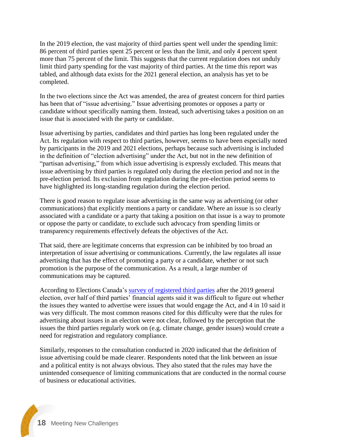In the 2019 election, the vast majority of third parties spent well under the spending limit: 86 percent of third parties spent 25 percent or less than the limit, and only 4 percent spent more than 75 percent of the limit. This suggests that the current regulation does not unduly limit third party spending for the vast majority of third parties. At the time this report was tabled, and although data exists for the 2021 general election, an analysis has yet to be completed.

In the two elections since the Act was amended, the area of greatest concern for third parties has been that of "issue advertising." Issue advertising promotes or opposes a party or candidate without specifically naming them. Instead, such advertising takes a position on an issue that is associated with the party or candidate.

Issue advertising by parties, candidates and third parties has long been regulated under the Act. Its regulation with respect to third parties, however, seems to have been especially noted by participants in the 2019 and 2021 elections, perhaps because such advertising is included in the definition of "election advertising" under the Act, but not in the new definition of "partisan advertising," from which issue advertising is expressly excluded. This means that issue advertising by third parties is regulated only during the election period and not in the pre-election period. Its exclusion from regulation during the pre-election period seems to have highlighted its long-standing regulation during the election period.

There is good reason to regulate issue advertising in the same way as advertising (or other communications) that explicitly mentions a party or candidate. Where an issue is so clearly associated with a candidate or a party that taking a position on that issue is a way to promote or oppose the party or candidate, to exclude such advocacy from spending limits or transparency requirements effectively defeats the objectives of the Act.

That said, there are legitimate concerns that expression can be inhibited by too broad an interpretation of issue advertising or communications. Currently, the law regulates all issue advertising that has the effect of promoting a party or a candidate, whether or not such promotion is the purpose of the communication. As a result, a large number of communications may be captured.

According to Elections Canada's [survey of registered third parties](https://www.elections.ca/content.aspx?section=res&dir=rec/eval/pes2019/thipar&document=index&lang=e) after the 2019 general election, over half of third parties' financial agents said it was difficult to figure out whether the issues they wanted to advertise were issues that would engage the Act, and 4 in 10 said it was very difficult. The most common reasons cited for this difficulty were that the rules for advertising about issues in an election were not clear, followed by the perception that the issues the third parties regularly work on (e.g. climate change, gender issues) would create a need for registration and regulatory compliance.

Similarly, responses to the consultation conducted in 2020 indicated that the definition of issue advertising could be made clearer. Respondents noted that the link between an issue and a political entity is not always obvious. They also stated that the rules may have the unintended consequence of limiting communications that are conducted in the normal course of business or educational activities.

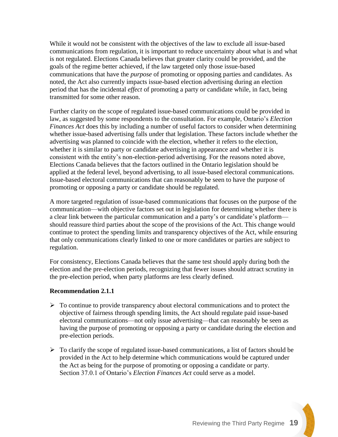While it would not be consistent with the objectives of the law to exclude all issue-based communications from regulation, it is important to reduce uncertainty about what is and what is not regulated. Elections Canada believes that greater clarity could be provided, and the goals of the regime better achieved, if the law targeted only those issue-based communications that have the *purpose* of promoting or opposing parties and candidates. As noted, the Act also currently impacts issue-based election advertising during an election period that has the incidental *effect* of promoting a party or candidate while, in fact, being transmitted for some other reason.

Further clarity on the scope of regulated issue-based communications could be provided in law, as suggested by some respondents to the consultation. For example, Ontario's *Election Finances Act* does this by including a number of useful factors to consider when determining whether issue-based advertising falls under that legislation. These factors include whether the advertising was planned to coincide with the election, whether it refers to the election, whether it is similar to party or candidate advertising in appearance and whether it is consistent with the entity's non-election-period advertising. For the reasons noted above, Elections Canada believes that the factors outlined in the Ontario legislation should be applied at the federal level, beyond advertising, to all issue-based electoral communications. Issue-based electoral communications that can reasonably be seen to have the purpose of promoting or opposing a party or candidate should be regulated.

A more targeted regulation of issue-based communications that focuses on the purpose of the communication—with objective factors set out in legislation for determining whether there is a clear link between the particular communication and a party's or candidate's platform should reassure third parties about the scope of the provisions of the Act. This change would continue to protect the spending limits and transparency objectives of the Act, while ensuring that only communications clearly linked to one or more candidates or parties are subject to regulation.

For consistency, Elections Canada believes that the same test should apply during both the election and the pre-election periods, recognizing that fewer issues should attract scrutiny in the pre-election period, when party platforms are less clearly defined.

### **Recommendation 2.1.1**

- $\triangleright$  To continue to provide transparency about electoral communications and to protect the objective of fairness through spending limits, the Act should regulate paid issue-based electoral communications—not only issue advertising—that can reasonably be seen as having the purpose of promoting or opposing a party or candidate during the election and pre-election periods.
- $\triangleright$  To clarify the scope of regulated issue-based communications, a list of factors should be provided in the Act to help determine which communications would be captured under the Act as being for the purpose of promoting or opposing a candidate or party. Section 37.0.1 of Ontario's *Election Finances Act* could serve as a model.

Reviewing the Third Party Regime **19**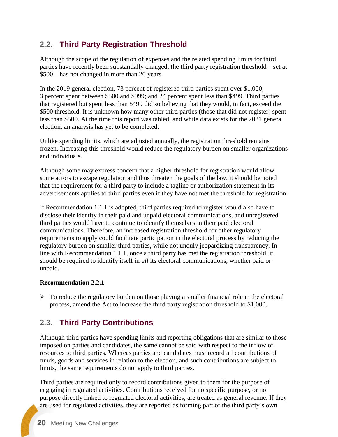# <span id="page-19-0"></span>**2.2. Third Party Registration Threshold**

Although the scope of the regulation of expenses and the related spending limits for third parties have recently been substantially changed, the third party registration threshold—set at \$500—has not changed in more than 20 years.

In the 2019 general election, 73 percent of registered third parties spent over \$1,000; 3 percent spent between \$500 and \$999; and 24 percent spent less than \$499. Third parties that registered but spent less than \$499 did so believing that they would, in fact, exceed the \$500 threshold. It is unknown how many other third parties (those that did not register) spent less than \$500. At the time this report was tabled, and while data exists for the 2021 general election, an analysis has yet to be completed.

Unlike spending limits, which are adjusted annually, the registration threshold remains frozen. Increasing this threshold would reduce the regulatory burden on smaller organizations and individuals.

Although some may express concern that a higher threshold for registration would allow some actors to escape regulation and thus threaten the goals of the law, it should be noted that the requirement for a third party to include a tagline or authorization statement in its advertisements applies to third parties even if they have not met the threshold for registration.

If Recommendation 1.1.1 is adopted, third parties required to register would also have to disclose their identity in their paid and unpaid electoral communications, and unregistered third parties would have to continue to identify themselves in their paid electoral communications. Therefore, an increased registration threshold for other regulatory requirements to apply could facilitate participation in the electoral process by reducing the regulatory burden on smaller third parties, while not unduly jeopardizing transparency. In line with Recommendation 1.1.1, once a third party has met the registration threshold, it should be required to identify itself in *all* its electoral communications, whether paid or unpaid.

### **Recommendation 2.2.1**

 $\triangleright$  To reduce the regulatory burden on those playing a smaller financial role in the electoral process, amend the Act to increase the third party registration threshold to \$1,000.

# <span id="page-19-1"></span>**2.3. Third Party Contributions**

Although third parties have spending limits and reporting obligations that are similar to those imposed on parties and candidates, the same cannot be said with respect to the inflow of resources to third parties. Whereas parties and candidates must record all contributions of funds, goods and services in relation to the election, and such contributions are subject to limits, the same requirements do not apply to third parties.

Third parties are required only to record contributions given to them for the purpose of engaging in regulated activities. Contributions received for no specific purpose, or no purpose directly linked to regulated electoral activities, are treated as general revenue. If they are used for regulated activities, they are reported as forming part of the third party's own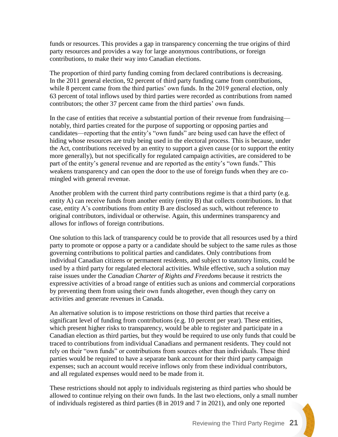funds or resources. This provides a gap in transparency concerning the true origins of third party resources and provides a way for large anonymous contributions, or foreign contributions, to make their way into Canadian elections.

The proportion of third party funding coming from declared contributions is decreasing. In the 2011 general election, 92 percent of third party funding came from contributions, while 8 percent came from the third parties' own funds. In the 2019 general election, only 63 percent of total inflows used by third parties were recorded as contributions from named contributors; the other 37 percent came from the third parties' own funds.

In the case of entities that receive a substantial portion of their revenue from fundraising notably, third parties created for the purpose of supporting or opposing parties and candidates—reporting that the entity's "own funds" are being used can have the effect of hiding whose resources are truly being used in the electoral process. This is because, under the Act, contributions received by an entity to support a given cause (or to support the entity more generally), but not specifically for regulated campaign activities, are considered to be part of the entity's general revenue and are reported as the entity's "own funds." This weakens transparency and can open the door to the use of foreign funds when they are comingled with general revenue.

Another problem with the current third party contributions regime is that a third party (e.g. entity A) can receive funds from another entity (entity B) that collects contributions. In that case, entity A's contributions from entity B are disclosed as such, without reference to original contributors, individual or otherwise. Again, this undermines transparency and allows for inflows of foreign contributions.

One solution to this lack of transparency could be to provide that all resources used by a third party to promote or oppose a party or a candidate should be subject to the same rules as those governing contributions to political parties and candidates. Only contributions from individual Canadian citizens or permanent residents, and subject to statutory limits, could be used by a third party for regulated electoral activities. While effective, such a solution may raise issues under the *Canadian Charter of Rights and Freedoms* because it restricts the expressive activities of a broad range of entities such as unions and commercial corporations by preventing them from using their own funds altogether, even though they carry on activities and generate revenues in Canada.

An alternative solution is to impose restrictions on those third parties that receive a significant level of funding from contributions (e.g. 10 percent per year). These entities, which present higher risks to transparency, would be able to register and participate in a Canadian election as third parties, but they would be required to use only funds that could be traced to contributions from individual Canadians and permanent residents. They could not rely on their "own funds" or contributions from sources other than individuals. These third parties would be required to have a separate bank account for their third party campaign expenses; such an account would receive inflows only from these individual contributors, and all regulated expenses would need to be made from it.

These restrictions should not apply to individuals registering as third parties who should be allowed to continue relying on their own funds. In the last two elections, only a small number of individuals registered as third parties (8 in 2019 and 7 in 2021), and only one reported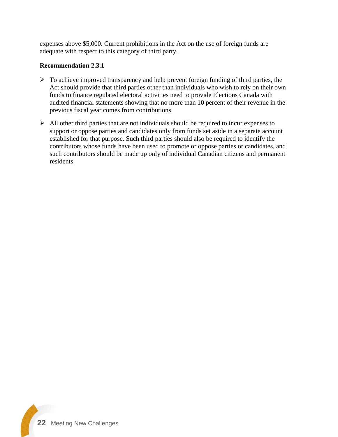expenses above \$5,000. Current prohibitions in the Act on the use of foreign funds are adequate with respect to this category of third party.

#### **Recommendation 2.3.1**

- $\triangleright$  To achieve improved transparency and help prevent foreign funding of third parties, the Act should provide that third parties other than individuals who wish to rely on their own funds to finance regulated electoral activities need to provide Elections Canada with audited financial statements showing that no more than 10 percent of their revenue in the previous fiscal year comes from contributions.
- $\triangleright$  All other third parties that are not individuals should be required to incur expenses to support or oppose parties and candidates only from funds set aside in a separate account established for that purpose. Such third parties should also be required to identify the contributors whose funds have been used to promote or oppose parties or candidates, and such contributors should be made up only of individual Canadian citizens and permanent residents.

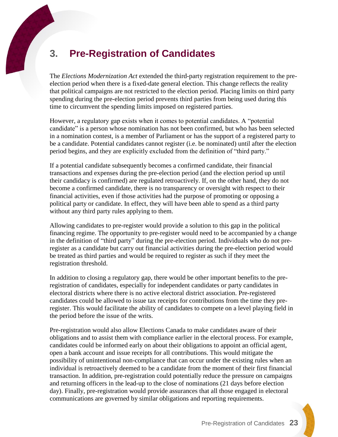# <span id="page-22-0"></span>**3. Pre-Registration of Candidates**

The *Elections Modernization Act* extended the third-party registration requirement to the preelection period when there is a fixed-date general election. This change reflects the reality that political campaigns are not restricted to the election period. Placing limits on third party spending during the pre-election period prevents third parties from being used during this time to circumvent the spending limits imposed on registered parties.

However, a regulatory gap exists when it comes to potential candidates. A "potential candidate" is a person whose nomination has not been confirmed, but who has been selected in a nomination contest, is a member of Parliament or has the support of a registered party to be a candidate. Potential candidates cannot register (i.e. be nominated) until after the election period begins, and they are explicitly excluded from the definition of "third party."

If a potential candidate subsequently becomes a confirmed candidate, their financial transactions and expenses during the pre-election period (and the election period up until their candidacy is confirmed) are regulated retroactively. If, on the other hand, they do not become a confirmed candidate, there is no transparency or oversight with respect to their financial activities, even if those activities had the purpose of promoting or opposing a political party or candidate. In effect, they will have been able to spend as a third party without any third party rules applying to them.

Allowing candidates to pre-register would provide a solution to this gap in the political financing regime. The opportunity to pre-register would need to be accompanied by a change in the definition of "third party" during the pre-election period. Individuals who do not preregister as a candidate but carry out financial activities during the pre-election period would be treated as third parties and would be required to register as such if they meet the registration threshold.

In addition to closing a regulatory gap, there would be other important benefits to the preregistration of candidates, especially for independent candidates or party candidates in electoral districts where there is no active electoral district association. Pre-registered candidates could be allowed to issue tax receipts for contributions from the time they preregister. This would facilitate the ability of candidates to compete on a level playing field in the period before the issue of the writs.

Pre-registration would also allow Elections Canada to make candidates aware of their obligations and to assist them with compliance earlier in the electoral process. For example, candidates could be informed early on about their obligations to appoint an official agent, open a bank account and issue receipts for all contributions. This would mitigate the possibility of unintentional non-compliance that can occur under the existing rules when an individual is retroactively deemed to be a candidate from the moment of their first financial transaction. In addition, pre-registration could potentially reduce the pressure on campaigns and returning officers in the lead-up to the close of nominations (21 days before election day). Finally, pre-registration would provide assurances that all those engaged in electoral communications are governed by similar obligations and reporting requirements.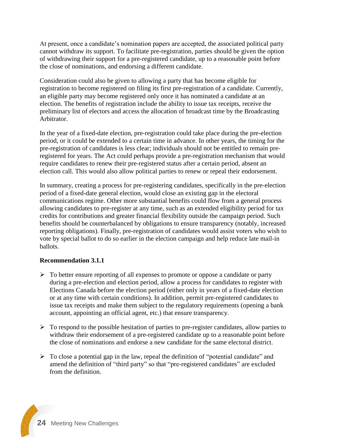At present, once a candidate's nomination papers are accepted, the associated political party cannot withdraw its support. To facilitate pre-registration, parties should be given the option of withdrawing their support for a pre-registered candidate, up to a reasonable point before the close of nominations, and endorsing a different candidate.

Consideration could also be given to allowing a party that has become eligible for registration to become registered on filing its first pre-registration of a candidate. Currently, an eligible party may become registered only once it has nominated a candidate at an election. The benefits of registration include the ability to issue tax receipts, receive the preliminary list of electors and access the allocation of broadcast time by the Broadcasting Arbitrator.

In the year of a fixed-date election, pre-registration could take place during the pre-election period, or it could be extended to a certain time in advance. In other years, the timing for the pre-registration of candidates is less clear; individuals should not be entitled to remain preregistered for years. The Act could perhaps provide a pre-registration mechanism that would require candidates to renew their pre-registered status after a certain period, absent an election call. This would also allow political parties to renew or repeal their endorsement.

In summary, creating a process for pre-registering candidates, specifically in the pre-election period of a fixed-date general election, would close an existing gap in the electoral communications regime. Other more substantial benefits could flow from a general process allowing candidates to pre-register at any time, such as an extended eligibility period for tax credits for contributions and greater financial flexibility outside the campaign period. Such benefits should be counterbalanced by obligations to ensure transparency (notably, increased reporting obligations). Finally, pre-registration of candidates would assist voters who wish to vote by special ballot to do so earlier in the election campaign and help reduce late mail-in ballots.

#### **Recommendation 3.1.1**

- ➢ To better ensure reporting of all expenses to promote or oppose a candidate or party during a pre-election and election period, allow a process for candidates to register with Elections Canada before the election period (either only in years of a fixed-date election or at any time with certain conditions). In addition, permit pre-registered candidates to issue tax receipts and make them subject to the regulatory requirements (opening a bank account, appointing an official agent, etc.) that ensure transparency.
- $\triangleright$  To respond to the possible hesitation of parties to pre-register candidates, allow parties to withdraw their endorsement of a pre-registered candidate up to a reasonable point before the close of nominations and endorse a new candidate for the same electoral district.
- $\triangleright$  To close a potential gap in the law, repeal the definition of "potential candidate" and amend the definition of "third party" so that "pre-registered candidates" are excluded from the definition.

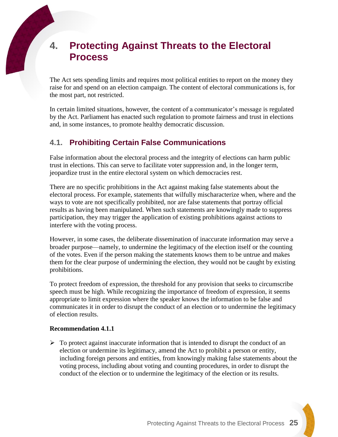# <span id="page-24-0"></span>**4. Protecting Against Threats to the Electoral Process**

The Act sets spending limits and requires most political entities to report on the money they raise for and spend on an election campaign. The content of electoral communications is, for the most part, not restricted.

In certain limited situations, however, the content of a communicator's message is regulated by the Act. Parliament has enacted such regulation to promote fairness and trust in elections and, in some instances, to promote healthy democratic discussion.

### <span id="page-24-1"></span>**4.1. Prohibiting Certain False Communications**

False information about the electoral process and the integrity of elections can harm public trust in elections. This can serve to facilitate voter suppression and, in the longer term, jeopardize trust in the entire electoral system on which democracies rest.

There are no specific prohibitions in the Act against making false statements about the electoral process. For example, statements that wilfully mischaracterize when, where and the ways to vote are not specifically prohibited, nor are false statements that portray official results as having been manipulated. When such statements are knowingly made to suppress participation, they may trigger the application of existing prohibitions against actions to interfere with the voting process.

However, in some cases, the deliberate dissemination of inaccurate information may serve a broader purpose—namely, to undermine the legitimacy of the election itself or the counting of the votes. Even if the person making the statements knows them to be untrue and makes them for the clear purpose of undermining the election, they would not be caught by existing prohibitions.

To protect freedom of expression, the threshold for any provision that seeks to circumscribe speech must be high. While recognizing the importance of freedom of expression, it seems appropriate to limit expression where the speaker knows the information to be false and communicates it in order to disrupt the conduct of an election or to undermine the legitimacy of election results.

#### **Recommendation 4.1.1**

 $\triangleright$  To protect against inaccurate information that is intended to disrupt the conduct of an election or undermine its legitimacy, amend the Act to prohibit a person or entity, including foreign persons and entities, from knowingly making false statements about the voting process, including about voting and counting procedures, in order to disrupt the conduct of the election or to undermine the legitimacy of the election or its results.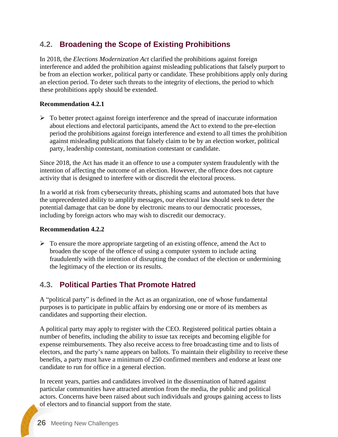### <span id="page-25-0"></span>**4.2. Broadening the Scope of Existing Prohibitions**

In 2018, the *Elections Modernization Act* clarified the prohibitions against foreign interference and added the prohibition against misleading publications that falsely purport to be from an election worker, political party or candidate. These prohibitions apply only during an election period. To deter such threats to the integrity of elections, the period to which these prohibitions apply should be extended.

#### **Recommendation 4.2.1**

➢ To better protect against foreign interference and the spread of inaccurate information about elections and electoral participants, amend the Act to extend to the pre-election period the prohibitions against foreign interference and extend to all times the prohibition against misleading publications that falsely claim to be by an election worker, political party, leadership contestant, nomination contestant or candidate.

Since 2018, the Act has made it an offence to use a computer system fraudulently with the intention of affecting the outcome of an election. However, the offence does not capture activity that is designed to interfere with or discredit the electoral process.

In a world at risk from cybersecurity threats, phishing scams and automated bots that have the unprecedented ability to amplify messages, our electoral law should seek to deter the potential damage that can be done by electronic means to our democratic processes, including by foreign actors who may wish to discredit our democracy.

#### **Recommendation 4.2.2**

 $\triangleright$  To ensure the more appropriate targeting of an existing offence, amend the Act to broaden the scope of the offence of using a computer system to include acting fraudulently with the intention of disrupting the conduct of the election or undermining the legitimacy of the election or its results.

# <span id="page-25-1"></span>**4.3. Political Parties That Promote Hatred**

A "political party" is defined in the Act as an organization, one of whose fundamental purposes is to participate in public affairs by endorsing one or more of its members as candidates and supporting their election.

A political party may apply to register with the CEO. Registered political parties obtain a number of benefits, including the ability to issue tax receipts and becoming eligible for expense reimbursements. They also receive access to free broadcasting time and to lists of electors, and the party's name appears on ballots. To maintain their eligibility to receive these benefits, a party must have a minimum of 250 confirmed members and endorse at least one candidate to run for office in a general election.

In recent years, parties and candidates involved in the dissemination of hatred against particular communities have attracted attention from the media, the public and political actors. Concerns have been raised about such individuals and groups gaining access to lists of electors and to financial support from the state.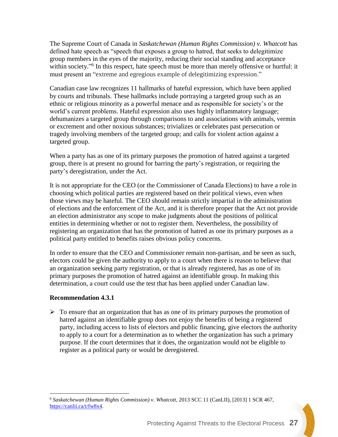The Supreme Court of Canada in *Saskatchewan (Human Rights Commission) v. Whatcott* has defined hate speech as "speech that exposes a group to hatred, that seeks to delegitimize group members in the eyes of the majority, reducing their social standing and acceptance within society."<sup>6</sup> In this respect, hate speech must be more than merely offensive or hurtful: it must present an "extreme and egregious example of delegitimizing expression."

Canadian case law recognizes 11 hallmarks of hateful expression, which have been applied by courts and tribunals. These hallmarks include portraying a targeted group such as an ethnic or religious minority as a powerful menace and as responsible for society's or the world's current problems. Hateful expression also uses highly inflammatory language; dehumanizes a targeted group through comparisons to and associations with animals, vermin or excrement and other noxious substances; trivializes or celebrates past persecution or tragedy involving members of the targeted group; and calls for violent action against a targeted group.

When a party has as one of its primary purposes the promotion of hatred against a targeted group, there is at present no ground for barring the party's registration, or requiring the party's deregistration, under the Act.

It is not appropriate for the CEO (or the Commissioner of Canada Elections) to have a role in choosing which political parties are registered based on their political views, even when those views may be hateful. The CEO should remain strictly impartial in the administration of elections and the enforcement of the Act, and it is therefore proper that the Act not provide an election administrator any scope to make judgments about the positions of political entities in determining whether or not to register them. Nevertheless, the possibility of registering an organization that has the promotion of hatred as one its primary purposes as a political party entitled to benefits raises obvious policy concerns.

In order to ensure that the CEO and Commissioner remain non-partisan, and be seen as such, electors could be given the authority to apply to a court when there is reason to believe that an organization seeking party registration, or that is already registered, has as one of its primary purposes the promotion of hatred against an identifiable group. In making this determination, a court could use the test that has been applied under Canadian law.

### **Recommendation 4.3.1**

 $\overline{a}$ 

➢ To ensure that an organization that has as one of its primary purposes the promotion of hatred against an identifiable group does not enjoy the benefits of being a registered party, including access to lists of electors and public financing, give electors the authority to apply to a court for a determination as to whether the organization has such a primary purpose. If the court determines that it does, the organization would not be eligible to register as a political party or would be deregistered.

<sup>6</sup> *Saskatchewan (Human Rights Commission) v. Whatcott*, 2013 SCC 11 (CanLII), [2013] 1 SCR 467, [https://canlii.ca/t/fw8x4.](https://canlii.ca/t/fw8x4)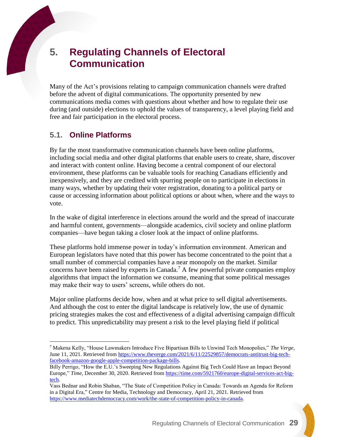$\overline{a}$ 

# <span id="page-28-0"></span>**5. Regulating Channels of Electoral Communication**

Many of the Act's provisions relating to campaign communication channels were drafted before the advent of digital communications. The opportunity presented by new communications media comes with questions about whether and how to regulate their use during (and outside) elections to uphold the values of transparency, a level playing field and free and fair participation in the electoral process.

### <span id="page-28-1"></span>**5.1. Online Platforms**

By far the most transformative communication channels have been online platforms, including social media and other digital platforms that enable users to create, share, discover and interact with content online. Having become a central component of our electoral environment, these platforms can be valuable tools for reaching Canadians efficiently and inexpensively, and they are credited with spurring people on to participate in elections in many ways, whether by updating their voter registration, donating to a political party or cause or accessing information about political options or about when, where and the ways to vote.

In the wake of digital interference in elections around the world and the spread of inaccurate and harmful content, governments—alongside academics, civil society and online platform companies—have begun taking a closer look at the impact of online platforms.

These platforms hold immense power in today's information environment. American and European legislators have noted that this power has become concentrated to the point that a small number of commercial companies have a near monopoly on the market. Similar concerns have been raised by experts in Canada. <sup>7</sup> A few powerful private companies employ algorithms that impact the information we consume, meaning that some political messages may make their way to users' screens, while others do not.

Major online platforms decide how, when and at what price to sell digital advertisements. And although the cost to enter the digital landscape is relatively low, the use of dynamic pricing strategies makes the cost and effectiveness of a digital advertising campaign difficult to predict. This unpredictability may present a risk to the level playing field if political

<sup>7</sup> Makena Kelly, "House Lawmakers Introduce Five Bipartisan Bills to Unwind Tech Monopolies," *The Verge*, June 11, 2021. Retrieved from [https://www.theverge.com/2021/6/11/22529857/democrats-antitrust-big-tech](https://www.theverge.com/2021/6/11/22529857/democrats-antitrust-big-tech-facebook-amazon-google-apple-competition-package-bills)[facebook-amazon-google-apple-competition-package-bills.](https://www.theverge.com/2021/6/11/22529857/democrats-antitrust-big-tech-facebook-amazon-google-apple-competition-package-bills)

Billy Perrigo, "How the E.U.'s Sweeping New Regulations Against Big Tech Could Have an Impact Beyond Europe," *Time*, December 30, 2020. Retrieved from [https://time.com/5921760/europe-digital-services-act-big](https://time.com/5921760/europe-digital-services-act-big-tech/)[tech.](https://time.com/5921760/europe-digital-services-act-big-tech/)

Vass Bednar and Robin Shaban, "The State of Competition Policy in Canada: Towards an Agenda for Reform in a Digital Era," Centre for Media, Technology and Democracy, April 21, 2021. Retrieved from [https://www.mediatechdemocracy.com/work/the-state-of-competition-policy-in-canada.](https://www.mediatechdemocracy.com/work/the-state-of-competition-policy-in-canada)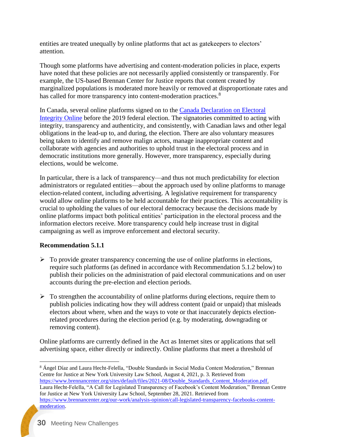entities are treated unequally by online platforms that act as gatekeepers to electors' attention.

Though some platforms have advertising and content-moderation policies in place, experts have noted that these policies are not necessarily applied consistently or transparently. For example, the US-based Brennan Center for Justice reports that content created by marginalized populations is moderated more heavily or removed at disproportionate rates and has called for more transparency into content-moderation practices.<sup>8</sup>

In Canada, several online platforms signed on to the [Canada Declaration on Electoral](https://www.canada.ca/en/democratic-institutions/services/protecting-democracy/declaration-electoral-integrity.html)  [Integrity Online](https://www.canada.ca/en/democratic-institutions/services/protecting-democracy/declaration-electoral-integrity.html) before the 2019 federal election. The signatories committed to acting with integrity, transparency and authenticity, and consistently, with Canadian laws and other legal obligations in the lead-up to, and during, the election. There are also voluntary measures being taken to identify and remove malign actors, manage inappropriate content and collaborate with agencies and authorities to uphold trust in the electoral process and in democratic institutions more generally. However, more transparency, especially during elections, would be welcome.

In particular, there is a lack of transparency—and thus not much predictability for election administrators or regulated entities—about the approach used by online platforms to manage election-related content, including advertising. A legislative requirement for transparency would allow online platforms to be held accountable for their practices. This accountability is crucial to upholding the values of our electoral democracy because the decisions made by online platforms impact both political entities' participation in the electoral process and the information electors receive. More transparency could help increase trust in digital campaigning as well as improve enforcement and electoral security.

### **Recommendation 5.1.1**

- $\triangleright$  To provide greater transparency concerning the use of online platforms in elections, require such platforms (as defined in accordance with Recommendation 5.1.2 below) to publish their policies on the administration of paid electoral communications and on user accounts during the pre-election and election periods.
- $\triangleright$  To strengthen the accountability of online platforms during elections, require them to publish policies indicating how they will address content (paid or unpaid) that misleads electors about where, when and the ways to vote or that inaccurately depicts electionrelated procedures during the election period (e.g. by moderating, downgrading or removing content).

Online platforms are currently defined in the Act as Internet sites or applications that sell advertising space, either directly or indirectly. Online platforms that meet a threshold of

 $\overline{a}$ 

<sup>8</sup> Ángel Díaz and Laura Hecht-Felella, "Double Standards in Social Media Content Moderation," Brennan Centre for Justice at New York University Law School, August 4, 2021, p. 3. Retrieved from [https://www.brennancenter.org/sites/default/files/2021-08/Double\\_Standards\\_Content\\_Moderation.pdf.](https://www.brennancenter.org/sites/default/files/2021-08/Double_Standards_Content_Moderation.pdf) Laura Hecht-Felella, "A Call for Legislated Transparency of Facebook's Content Moderation," Brennan Centre for Justice at New York University Law School*,* September 28, 2021. Retrieved from [https://www.brennancenter.org/our-work/analysis-opinion/call-legislated-transparency-facebooks-content](https://www.brennancenter.org/our-work/analysis-opinion/call-legislated-transparency-facebooks-content-moderation)[moderation.](https://www.brennancenter.org/our-work/analysis-opinion/call-legislated-transparency-facebooks-content-moderation)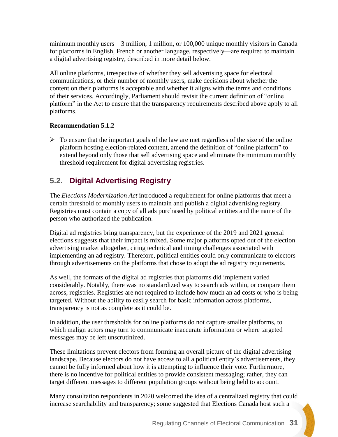minimum monthly users—3 million, 1 million, or 100,000 unique monthly visitors in Canada for platforms in English, French or another language, respectively—are required to maintain a digital advertising registry, described in more detail below.

All online platforms, irrespective of whether they sell advertising space for electoral communications, or their number of monthly users, make decisions about whether the content on their platforms is acceptable and whether it aligns with the terms and conditions of their services. Accordingly, Parliament should revisit the current definition of "online platform" in the Act to ensure that the transparency requirements described above apply to all platforms.

### **Recommendation 5.1.2**

 $\triangleright$  To ensure that the important goals of the law are met regardless of the size of the online platform hosting election-related content, amend the definition of "online platform" to extend beyond only those that sell advertising space and eliminate the minimum monthly threshold requirement for digital advertising registries.

# <span id="page-30-0"></span>**5.2. Digital Advertising Registry**

The *Elections Modernization Act* introduced a requirement for online platforms that meet a certain threshold of monthly users to maintain and publish a digital advertising registry. Registries must contain a copy of all ads purchased by political entities and the name of the person who authorized the publication.

Digital ad registries bring transparency, but the experience of the 2019 and 2021 general elections suggests that their impact is mixed. Some major platforms opted out of the election advertising market altogether, citing technical and timing challenges associated with implementing an ad registry. Therefore, political entities could only communicate to electors through advertisements on the platforms that chose to adopt the ad registry requirements.

As well, the formats of the digital ad registries that platforms did implement varied considerably. Notably, there was no standardized way to search ads within, or compare them across, registries. Registries are not required to include how much an ad costs or who is being targeted. Without the ability to easily search for basic information across platforms, transparency is not as complete as it could be.

In addition, the user thresholds for online platforms do not capture smaller platforms, to which malign actors may turn to communicate inaccurate information or where targeted messages may be left unscrutinized.

These limitations prevent electors from forming an overall picture of the digital advertising landscape. Because electors do not have access to all a political entity's advertisements, they cannot be fully informed about how it is attempting to influence their vote. Furthermore, there is no incentive for political entities to provide consistent messaging; rather, they can target different messages to different population groups without being held to account.

Many consultation respondents in 2020 welcomed the idea of a centralized registry that could increase searchability and transparency; some suggested that Elections Canada host such a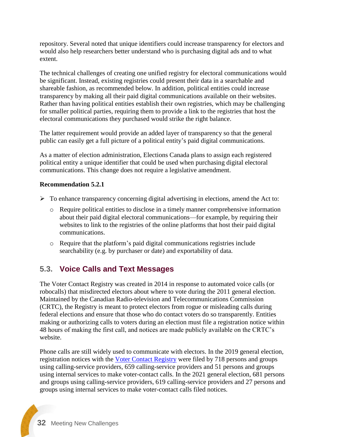repository. Several noted that unique identifiers could increase transparency for electors and would also help researchers better understand who is purchasing digital ads and to what extent.

The technical challenges of creating one unified registry for electoral communications would be significant. Instead, existing registries could present their data in a searchable and shareable fashion, as recommended below. In addition, political entities could increase transparency by making all their paid digital communications available on their websites. Rather than having political entities establish their own registries, which may be challenging for smaller political parties, requiring them to provide a link to the registries that host the electoral communications they purchased would strike the right balance.

The latter requirement would provide an added layer of transparency so that the general public can easily get a full picture of a political entity's paid digital communications.

As a matter of election administration, Elections Canada plans to assign each registered political entity a unique identifier that could be used when purchasing digital electoral communications. This change does not require a legislative amendment.

#### **Recommendation 5.2.1**

- ➢ To enhance transparency concerning digital advertising in elections, amend the Act to:
	- o Require political entities to disclose in a timely manner comprehensive information about their paid digital electoral communications—for example, by requiring their websites to link to the registries of the online platforms that host their paid digital communications.
	- o Require that the platform's paid digital communications registries include searchability (e.g. by purchaser or date) and exportability of data.

### <span id="page-31-0"></span>**5.3. Voice Calls and Text Messages**

The Voter Contact Registry was created in 2014 in response to automated voice calls (or robocalls) that misdirected electors about where to vote during the 2011 general election. Maintained by the Canadian Radio-television and Telecommunications Commission (CRTC), the Registry is meant to protect electors from rogue or misleading calls during federal elections and ensure that those who do contact voters do so transparently. Entities making or authorizing calls to voters during an election must file a registration notice within 48 hours of making the first call, and notices are made publicly available on the CRTC's website.

Phone calls are still widely used to communicate with electors. In the 2019 general election, registration notices with the [Voter Contact Registry](https://services.crtc.gc.ca/pub/RegistrationNoticesList/RegistrationNoticesList-ListeAvisEnregistrements.aspx?lang=en&ElectionID=11&Type=&From=&To=) were filed by 718 persons and groups using calling-service providers, 659 calling-service providers and 51 persons and groups using internal services to make voter-contact calls. In the 2021 general election, 681 persons and groups using calling-service providers, 619 calling-service providers and 27 persons and groups using internal services to make voter-contact calls filed notices.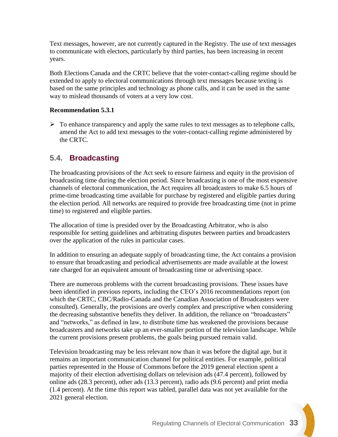Text messages, however, are not currently captured in the Registry. The use of text messages to communicate with electors, particularly by third parties, has been increasing in recent years.

Both Elections Canada and the CRTC believe that the voter-contact-calling regime should be extended to apply to electoral communications through text messages because texting is based on the same principles and technology as phone calls, and it can be used in the same way to mislead thousands of voters at a very low cost.

#### **Recommendation 5.3.1**

 $\triangleright$  To enhance transparency and apply the same rules to text messages as to telephone calls, amend the Act to add text messages to the voter-contact-calling regime administered by the CRTC.

### <span id="page-32-0"></span>**5.4. Broadcasting**

The broadcasting provisions of the Act seek to ensure fairness and equity in the provision of broadcasting time during the election period. Since broadcasting is one of the most expensive channels of electoral communication, the Act requires all broadcasters to make 6.5 hours of prime-time broadcasting time available for purchase by registered and eligible parties during the election period. All networks are required to provide free broadcasting time (not in prime time) to registered and eligible parties.

The allocation of time is presided over by the Broadcasting Arbitrator, who is also responsible for setting guidelines and arbitrating disputes between parties and broadcasters over the application of the rules in particular cases.

In addition to ensuring an adequate supply of broadcasting time, the Act contains a provision to ensure that broadcasting and periodical advertisements are made available at the lowest rate charged for an equivalent amount of broadcasting time or advertising space.

There are numerous problems with the current broadcasting provisions. These issues have been identified in previous reports, including the CEO's 2016 recommendations report (on which the CRTC, CBC/Radio-Canada and the Canadian Association of Broadcasters were consulted). Generally, the provisions are overly complex and prescriptive when considering the decreasing substantive benefits they deliver. In addition, the reliance on "broadcasters" and "networks," as defined in law, to distribute time has weakened the provisions because broadcasters and networks take up an ever-smaller portion of the television landscape. While the current provisions present problems, the goals being pursued remain valid.

Television broadcasting may be less relevant now than it was before the digital age, but it remains an important communication channel for political entities. For example, political parties represented in the House of Commons before the 2019 general election spent a majority of their election advertising dollars on television ads (47.4 percent), followed by online ads (28.3 percent), other ads (13.3 percent), radio ads (9.6 percent) and print media (1.4 percent). At the time this report was tabled, parallel data was not yet available for the 2021 general election.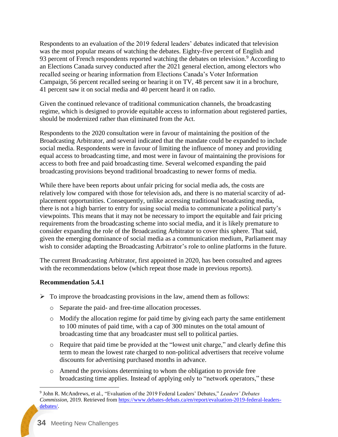Respondents to an evaluation of the 2019 federal leaders' debates indicated that television was the most popular means of watching the debates. Eighty-five percent of English and 93 percent of French respondents reported watching the debates on television.<sup>9</sup> According to an Elections Canada survey conducted after the 2021 general election, among electors who recalled seeing or hearing information from Elections Canada's Voter Information Campaign, 56 percent recalled seeing or hearing it on TV, 48 percent saw it in a brochure, 41 percent saw it on social media and 40 percent heard it on radio.

Given the continued relevance of traditional communication channels, the broadcasting regime, which is designed to provide equitable access to information about registered parties, should be modernized rather than eliminated from the Act.

Respondents to the 2020 consultation were in favour of maintaining the position of the Broadcasting Arbitrator, and several indicated that the mandate could be expanded to include social media. Respondents were in favour of limiting the influence of money and providing equal access to broadcasting time, and most were in favour of maintaining the provisions for access to both free and paid broadcasting time. Several welcomed expanding the paid broadcasting provisions beyond traditional broadcasting to newer forms of media.

While there have been reports about unfair pricing for social media ads, the costs are relatively low compared with those for television ads, and there is no material scarcity of adplacement opportunities. Consequently, unlike accessing traditional broadcasting media, there is not a high barrier to entry for using social media to communicate a political party's viewpoints. This means that it may not be necessary to import the equitable and fair pricing requirements from the broadcasting scheme into social media, and it is likely premature to consider expanding the role of the Broadcasting Arbitrator to cover this sphere. That said, given the emerging dominance of social media as a communication medium, Parliament may wish to consider adapting the Broadcasting Arbitrator's role to online platforms in the future.

The current Broadcasting Arbitrator, first appointed in 2020, has been consulted and agrees with the recommendations below (which repeat those made in previous reports).

#### **Recommendation 5.4.1**

- $\triangleright$  To improve the broadcasting provisions in the law, amend them as follows:
	- o Separate the paid- and free-time allocation processes.
	- o Modify the allocation regime for paid time by giving each party the same entitlement to 100 minutes of paid time, with a cap of 300 minutes on the total amount of broadcasting time that any broadcaster must sell to political parties.
	- o Require that paid time be provided at the "lowest unit charge," and clearly define this term to mean the lowest rate charged to non-political advertisers that receive volume discounts for advertising purchased months in advance.
	- o Amend the provisions determining to whom the obligation to provide free broadcasting time applies. Instead of applying only to "network operators," these

 $\overline{a}$ 

<sup>9</sup> John R. McAndrews, et al., "Evaluation of the 2019 Federal Leaders' Debates," *Leaders' Debates Commission,* 2019. Retrieved from [https://www.debates-debats.ca/en/report/evaluation-2019-federal-leaders](https://www.debates-debats.ca/en/report/evaluation-2019-federal-leaders-debates/)[debates/.](https://www.debates-debats.ca/en/report/evaluation-2019-federal-leaders-debates/)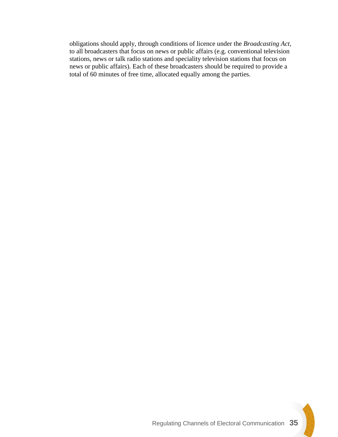obligations should apply, through conditions of licence under the *Broadcasting Act*, to all broadcasters that focus on news or public affairs (e.g. conventional television stations, news or talk radio stations and speciality television stations that focus on news or public affairs). Each of these broadcasters should be required to provide a total of 60 minutes of free time, allocated equally among the parties.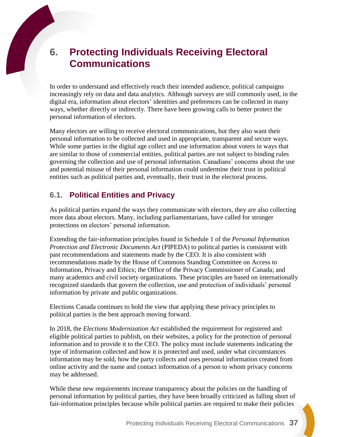# **6. Protecting Individuals Receiving Electoral Communications**

In order to understand and effectively reach their intended audience, political campaigns increasingly rely on data and data analytics. Although surveys are still commonly used, in the digital era, information about electors' identities and preferences can be collected in many ways, whether directly or indirectly. There have been growing calls to better protect the personal information of electors.

Many electors are willing to receive electoral communications, but they also want their personal information to be collected and used in appropriate, transparent and secure ways. While some parties in the digital age collect and use information about voters in ways that are similar to those of commercial entities, political parties are not subject to binding rules governing the collection and use of personal information. Canadians' concerns about the use and potential misuse of their personal information could undermine their trust in political entities such as political parties and, eventually, their trust in the electoral process.

## **6.1. Political Entities and Privacy**

As political parties expand the ways they communicate with electors, they are also collecting more data about electors. Many, including parliamentarians, have called for stronger protections on electors' personal information.

Extending the fair-information principles found in Schedule 1 of the *Personal Information Protection and Electronic Documents Act* (PIPEDA) to political parties is consistent with past recommendations and statements made by the CEO. It is also consistent with recommendations made by the House of Commons Standing Committee on Access to Information, Privacy and Ethics; the Office of the Privacy Commissioner of Canada; and many academics and civil society organizations. These principles are based on internationally recognized standards that govern the collection, use and protection of individuals' personal information by private and public organizations.

Elections Canada continues to hold the view that applying these privacy principles to political parties is the best approach moving forward.

In 2018, the *Elections Modernization Act* established the requirement for registered and eligible political parties to publish, on their websites, a policy for the protection of personal information and to provide it to the CEO. The policy must include statements indicating the type of information collected and how it is protected and used, under what circumstances information may be sold, how the party collects and uses personal information created from online activity and the name and contact information of a person to whom privacy concerns may be addressed.

While these new requirements increase transparency about the policies on the handling of personal information by political parties, they have been broadly criticized as falling short of fair-information principles because while political parties are required to make their policies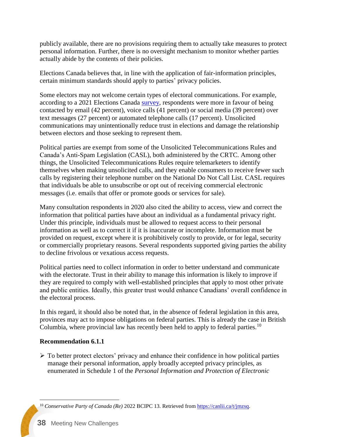publicly available, there are no provisions requiring them to actually take measures to protect personal information. Further, there is no oversight mechanism to monitor whether parties actually abide by the contents of their policies.

Elections Canada believes that, in line with the application of fair-information principles, certain minimum standards should apply to parties' privacy policies.

Some electors may not welcome certain types of electoral communications. For example, according to a 2021 Elections Canada [survey,](https://www.elections.ca/content.aspx?section=res&dir=rec/eval/pes2019/nes/pcei&document=index&lang=e) respondents were more in favour of being contacted by email (42 percent), voice calls (41 percent) or social media (39 percent) over text messages (27 percent) or automated telephone calls (17 percent). Unsolicited communications may unintentionally reduce trust in elections and damage the relationship between electors and those seeking to represent them.

Political parties are exempt from some of the Unsolicited Telecommunications Rules and Canada's Anti-Spam Legislation (CASL), both administered by the CRTC. Among other things, the Unsolicited Telecommunications Rules require telemarketers to identify themselves when making unsolicited calls, and they enable consumers to receive fewer such calls by registering their telephone number on the National Do Not Call List. CASL requires that individuals be able to unsubscribe or opt out of receiving commercial electronic messages (i.e. emails that offer or promote goods or services for sale).

Many consultation respondents in 2020 also cited the ability to access, view and correct the information that political parties have about an individual as a fundamental privacy right. Under this principle, individuals must be allowed to request access to their personal information as well as to correct it if it is inaccurate or incomplete. Information must be provided on request, except where it is prohibitively costly to provide, or for legal, security or commercially proprietary reasons. Several respondents supported giving parties the ability to decline frivolous or vexatious access requests.

Political parties need to collect information in order to better understand and communicate with the electorate. Trust in their ability to manage this information is likely to improve if they are required to comply with well-established principles that apply to most other private and public entities. Ideally, this greater trust would enhance Canadians' overall confidence in the electoral process.

In this regard, it should also be noted that, in the absence of federal legislation in this area, provinces may act to impose obligations on federal parties. This is already the case in British Columbia, where provincial law has recently been held to apply to federal parties.<sup>10</sup>

### **Recommendation 6.1.1**

 $\triangleright$  To better protect electors' privacy and enhance their confidence in how political parties manage their personal information, apply broadly accepted privacy principles, as enumerated in Schedule 1 of the *Personal Information and Protection of Electronic* 

 $\overline{a}$ <sup>10</sup> *Conservative Party of Canada (Re)* 2022 BCIPC 13. Retrieved from [https://canlii.ca/t/jmzsq.](https://canlii.ca/t/jmzsq)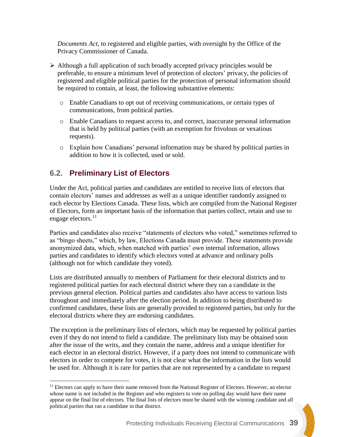*Documents Act*, to registered and eligible parties, with oversight by the Office of the Privacy Commissioner of Canada.

- ➢ Although a full application of such broadly accepted privacy principles would be preferable, to ensure a minimum level of protection of electors' privacy, the policies of registered and eligible political parties for the protection of personal information should be required to contain, at least, the following substantive elements:
	- o Enable Canadians to opt out of receiving communications, or certain types of communications, from political parties.
	- o Enable Canadians to request access to, and correct, inaccurate personal information that is held by political parties (with an exemption for frivolous or vexatious requests).
	- o Explain how Canadians' personal information may be shared by political parties in addition to how it is collected, used or sold.

### **6.2. Preliminary List of Electors**

 $\overline{a}$ 

Under the Act, political parties and candidates are entitled to receive lists of electors that contain electors' names and addresses as well as a unique identifier randomly assigned to each elector by Elections Canada. These lists, which are compiled from the National Register of Electors, form an important basis of the information that parties collect, retain and use to engage electors.<sup>11</sup>

Parties and candidates also receive "statements of electors who voted," sometimes referred to as "bingo sheets," which, by law, Elections Canada must provide. These statements provide anonymized data, which, when matched with parties' own internal information, allows parties and candidates to identify which electors voted at advance and ordinary polls (although not for which candidate they voted).

Lists are distributed annually to members of Parliament for their electoral districts and to registered political parties for each electoral district where they ran a candidate in the previous general election. Political parties and candidates also have access to various lists throughout and immediately after the election period. In addition to being distributed to confirmed candidates, these lists are generally provided to registered parties, but only for the electoral districts where they are endorsing candidates.

The exception is the preliminary lists of electors, which may be requested by political parties even if they do not intend to field a candidate. The preliminary lists may be obtained soon after the issue of the writs, and they contain the name, address and a unique identifier for each elector in an electoral district. However, if a party does not intend to communicate with electors in order to compete for votes, it is not clear what the information in the lists would be used for. Although it is rare for parties that are not represented by a candidate to request

<sup>&</sup>lt;sup>11</sup> Electors can apply to have their name removed from the National Register of Electors. However, an elector whose name is not included in the Register and who registers to vote on polling day would have their name appear on the final list of electors. The final lists of electors must be shared with the winning candidate and all political parties that ran a candidate in that district.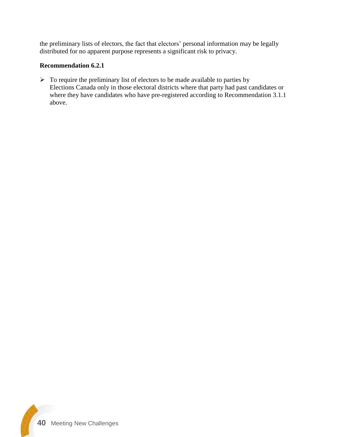the preliminary lists of electors, the fact that electors' personal information may be legally distributed for no apparent purpose represents a significant risk to privacy.

### **Recommendation 6.2.1**

 $\triangleright$  To require the preliminary list of electors to be made available to parties by Elections Canada only in those electoral districts where that party had past candidates or where they have candidates who have pre-registered according to Recommendation 3.1.1 above.

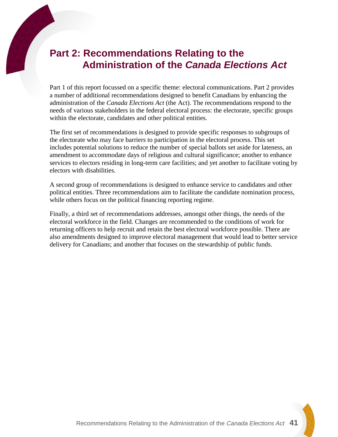# **Part 2: Recommendations Relating to the Administration of the** *Canada Elections Act*

Part 1 of this report focussed on a specific theme: electoral communications. Part 2 provides a number of additional recommendations designed to benefit Canadians by enhancing the administration of the *Canada Elections Act* (the Act). The recommendations respond to the needs of various stakeholders in the federal electoral process: the electorate, specific groups within the electorate, candidates and other political entities.

The first set of recommendations is designed to provide specific responses to subgroups of the electorate who may face barriers to participation in the electoral process. This set includes potential solutions to reduce the number of special ballots set aside for lateness, an amendment to accommodate days of religious and cultural significance; another to enhance services to electors residing in long-term care facilities; and yet another to facilitate voting by electors with disabilities.

A second group of recommendations is designed to enhance service to candidates and other political entities. Three recommendations aim to facilitate the candidate nomination process, while others focus on the political financing reporting regime.

Finally, a third set of recommendations addresses, amongst other things, the needs of the electoral workforce in the field. Changes are recommended to the conditions of work for returning officers to help recruit and retain the best electoral workforce possible. There are also amendments designed to improve electoral management that would lead to better service delivery for Canadians; and another that focuses on the stewardship of public funds.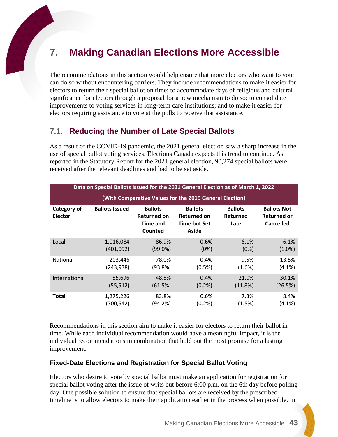# **7. Making Canadian Elections More Accessible**

The recommendations in this section would help ensure that more electors who want to vote can do so without encountering barriers. They include recommendations to make it easier for electors to return their special ballot on time; to accommodate days of religious and cultural significance for electors through a proposal for a new mechanism to do so; to consolidate improvements to voting services in long-term care institutions; and to make it easier for electors requiring assistance to vote at the polls to receive that assistance.

### **7.1. Reducing the Number of Late Special Ballots**

As a result of the COVID-19 pandemic, the 2021 general election saw a sharp increase in the use of special ballot voting services. Elections Canada expects this trend to continue. As reported in the Statutory Report for the 2021 general election, 90,274 special ballots were received after the relevant deadlines and had to be set aside.

| Data on Special Ballots Issued for the 2021 General Election as of March 1, 2022 |                       |                                                                    |                                                                      |                                           |                                                              |
|----------------------------------------------------------------------------------|-----------------------|--------------------------------------------------------------------|----------------------------------------------------------------------|-------------------------------------------|--------------------------------------------------------------|
| (With Comparative Values for the 2019 General Election)                          |                       |                                                                    |                                                                      |                                           |                                                              |
| Category of<br><b>Elector</b>                                                    | <b>Ballots Issued</b> | <b>Ballots</b><br><b>Returned on</b><br><b>Time and</b><br>Counted | <b>Ballots</b><br><b>Returned on</b><br><b>Time but Set</b><br>Aside | <b>Ballots</b><br><b>Returned</b><br>Late | <b>Ballots Not</b><br><b>Returned or</b><br><b>Cancelled</b> |
| Local                                                                            | 1,016,084             | 86.9%                                                              | 0.6%                                                                 | 6.1%                                      | 6.1%                                                         |
|                                                                                  | (401,092)             | $(99.0\%)$                                                         | (0%)                                                                 | (0%)                                      | $(1.0\%)$                                                    |
| National                                                                         | 203,446               | 78.0%                                                              | 0.4%                                                                 | 9.5%                                      | 13.5%                                                        |
|                                                                                  | (243,938)             | (93.8%)                                                            | (0.5%)                                                               | (1.6%)                                    | $(4.1\%)$                                                    |
| International                                                                    | 55,696                | 48.5%                                                              | 0.4%                                                                 | 21.0%                                     | 30.1%                                                        |
|                                                                                  | (55, 512)             | (61.5%)                                                            | $(0.2\%)$                                                            | (11.8%)                                   | (26.5%)                                                      |
| Total                                                                            | 1,275,226             | 83.8%                                                              | 0.6%                                                                 | 7.3%                                      | 8.4%                                                         |
|                                                                                  | (700,542)             | (94.2%)                                                            | $(0.2\%)$                                                            | (1.5%)                                    | $(4.1\%)$                                                    |

Recommendations in this section aim to make it easier for electors to return their ballot in time. While each individual recommendation would have a meaningful impact, it is the individual recommendations in combination that hold out the most promise for a lasting improvement.

#### **Fixed-Date Elections and Registration for Special Ballot Voting**

Electors who desire to vote by special ballot must make an application for registration for special ballot voting after the issue of writs but before 6:00 p.m. on the 6th day before polling day. One possible solution to ensure that special ballots are received by the prescribed timeline is to allow electors to make their application earlier in the process when possible. In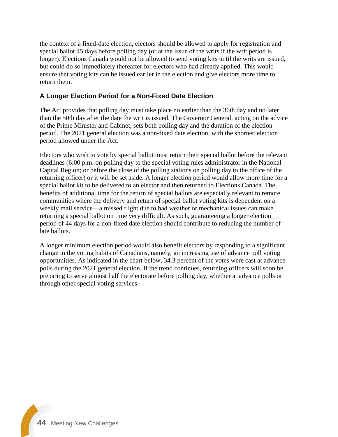the context of a fixed-date election, electors should be allowed to apply for registration and special ballot 45 days before polling day (or at the issue of the writs if the writ period is longer). Elections Canada would not be allowed to send voting kits until the writs are issued, but could do so immediately thereafter for electors who had already applied. This would ensure that voting kits can be issued earlier in the election and give electors more time to return them.

### **A Longer Election Period for a Non-Fixed Date Election**

The Act provides that polling day must take place no earlier than the 36th day and no later than the 50th day after the date the writ is issued. The Governor General, acting on the advice of the Prime Minister and Cabinet, sets both polling day and the duration of the election period. The 2021 general election was a non-fixed date election, with the shortest election period allowed under the Act.

Electors who wish to vote by special ballot must return their special ballot before the relevant deadlines (6:00 p.m. on polling day to the special voting rules administrator in the National Capital Region; or before the close of the polling stations on polling day to the office of the returning officer) or it will be set aside. A longer election period would allow more time for a special ballot kit to be delivered to an elector and then returned to Elections Canada. The benefits of additional time for the return of special ballots are especially relevant to remote communities where the delivery and return of special ballot voting kits is dependent on a weekly mail service—a missed flight due to bad weather or mechanical issues can make returning a special ballot on time very difficult. As such, guaranteeing a longer election period of 44 days for a non-fixed date election should contribute to reducing the number of late ballots.

A longer minimum election period would also benefit electors by responding to a significant change in the voting habits of Canadians, namely, an increasing use of advance poll voting opportunities. As indicated in the chart below, 34.3 percent of the votes were cast at advance polls during the 2021 general election. If the trend continues, returning officers will soon be preparing to serve almost half the electorate before polling day, whether at advance polls or through other special voting services.

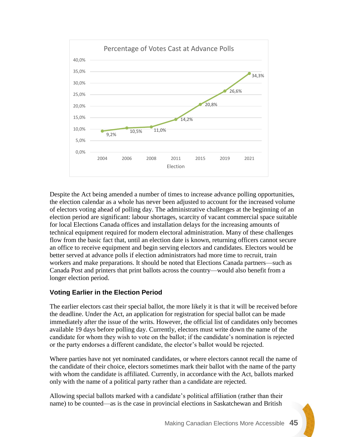

Despite the Act being amended a number of times to increase advance polling opportunities, the election calendar as a whole has never been adjusted to account for the increased volume of electors voting ahead of polling day. The administrative challenges at the beginning of an election period are significant: labour shortages, scarcity of vacant commercial space suitable for local Elections Canada offices and installation delays for the increasing amounts of technical equipment required for modern electoral administration. Many of these challenges flow from the basic fact that, until an election date is known, returning officers cannot secure an office to receive equipment and begin serving electors and candidates. Electors would be better served at advance polls if election administrators had more time to recruit, train workers and make preparations. It should be noted that Elections Canada partners—such as Canada Post and printers that print ballots across the country—would also benefit from a longer election period.

### **Voting Earlier in the Election Period**

The earlier electors cast their special ballot, the more likely it is that it will be received before the deadline. Under the Act, an application for registration for special ballot can be made immediately after the issue of the writs. However, the official list of candidates only becomes available 19 days before polling day. Currently, electors must write down the name of the candidate for whom they wish to vote on the ballot; if the candidate's nomination is rejected or the party endorses a different candidate, the elector's ballot would be rejected.

Where parties have not yet nominated candidates, or where electors cannot recall the name of the candidate of their choice, electors sometimes mark their ballot with the name of the party with whom the candidate is affiliated. Currently, in accordance with the Act, ballots marked only with the name of a political party rather than a candidate are rejected.

Allowing special ballots marked with a candidate's political affiliation (rather than their name) to be counted—as is the case in provincial elections in Saskatchewan and British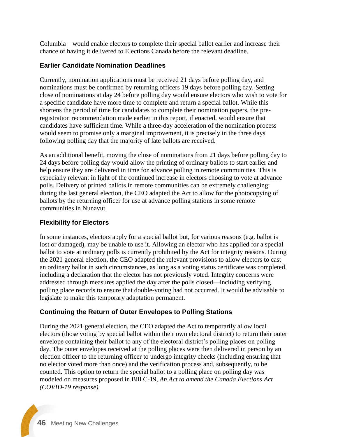Columbia—would enable electors to complete their special ballot earlier and increase their chance of having it delivered to Elections Canada before the relevant deadline.

### **Earlier Candidate Nomination Deadlines**

Currently, nomination applications must be received 21 days before polling day, and nominations must be confirmed by returning officers 19 days before polling day. Setting close of nominations at day 24 before polling day would ensure electors who wish to vote for a specific candidate have more time to complete and return a special ballot. While this shortens the period of time for candidates to complete their nomination papers, the preregistration recommendation made earlier in this report, if enacted, would ensure that candidates have sufficient time. While a three-day acceleration of the nomination process would seem to promise only a marginal improvement, it is precisely in the three days following polling day that the majority of late ballots are received.

As an additional benefit, moving the close of nominations from 21 days before polling day to 24 days before polling day would allow the printing of ordinary ballots to start earlier and help ensure they are delivered in time for advance polling in remote communities. This is especially relevant in light of the continued increase in electors choosing to vote at advance polls. Delivery of printed ballots in remote communities can be extremely challenging: during the last general election, the CEO adapted the Act to allow for the photocopying of ballots by the returning officer for use at advance polling stations in some remote communities in Nunavut.

### **Flexibility for Electors**

In some instances, electors apply for a special ballot but, for various reasons (e.g. ballot is lost or damaged), may be unable to use it. Allowing an elector who has applied for a special ballot to vote at ordinary polls is currently prohibited by the Act for integrity reasons. During the 2021 general election, the CEO adapted the relevant provisions to allow electors to cast an ordinary ballot in such circumstances, as long as a voting status certificate was completed, including a declaration that the elector has not previously voted. Integrity concerns were addressed through measures applied the day after the polls closed—including verifying polling place records to ensure that double-voting had not occurred. It would be advisable to legislate to make this temporary adaptation permanent.

### **Continuing the Return of Outer Envelopes to Polling Stations**

During the 2021 general election, the CEO adapted the Act to temporarily allow local electors (those voting by special ballot within their own electoral district) to return their outer envelope containing their ballot to any of the electoral district's polling places on polling day. The outer envelopes received at the polling places were then delivered in person by an election officer to the returning officer to undergo integrity checks (including ensuring that no elector voted more than once) and the verification process and, subsequently, to be counted. This option to return the special ballot to a polling place on polling day was modeled on measures proposed in Bill C-19, *An Act to amend the Canada Elections Act (COVID-19 response).*

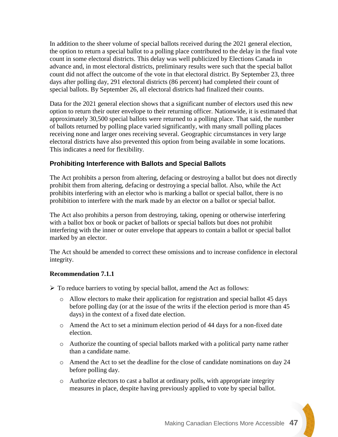In addition to the sheer volume of special ballots received during the 2021 general election, the option to return a special ballot to a polling place contributed to the delay in the final vote count in some electoral districts. This delay was well publicized by Elections Canada in advance and, in most electoral districts, preliminary results were such that the special ballot count did not affect the outcome of the vote in that electoral district. By September 23, three days after polling day, 291 electoral districts (86 percent) had completed their count of special ballots. By September 26, all electoral districts had finalized their counts.

Data for the 2021 general election shows that a significant number of electors used this new option to return their outer envelope to their returning officer. Nationwide, it is estimated that approximately 30,500 special ballots were returned to a polling place. That said, the number of ballots returned by polling place varied significantly, with many small polling places receiving none and larger ones receiving several. Geographic circumstances in very large electoral districts have also prevented this option from being available in some locations. This indicates a need for flexibility.

### **Prohibiting Interference with Ballots and Special Ballots**

The Act prohibits a person from altering, defacing or destroying a ballot but does not directly prohibit them from altering, defacing or destroying a special ballot. Also, while the Act prohibits interfering with an elector who is marking a ballot or special ballot, there is no prohibition to interfere with the mark made by an elector on a ballot or special ballot.

The Act also prohibits a person from destroying, taking, opening or otherwise interfering with a ballot box or book or packet of ballots or special ballots but does not prohibit interfering with the inner or outer envelope that appears to contain a ballot or special ballot marked by an elector.

The Act should be amended to correct these omissions and to increase confidence in electoral integrity.

#### **Recommendation 7.1.1**

➢ To reduce barriers to voting by special ballot, amend the Act as follows:

- o Allow electors to make their application for registration and special ballot 45 days before polling day (or at the issue of the writs if the election period is more than 45 days) in the context of a fixed date election.
- $\circ$  Amend the Act to set a minimum election period of 44 days for a non-fixed date election.
- o Authorize the counting of special ballots marked with a political party name rather than a candidate name.
- o Amend the Act to set the deadline for the close of candidate nominations on day 24 before polling day.
- o Authorize electors to cast a ballot at ordinary polls, with appropriate integrity measures in place, despite having previously applied to vote by special ballot.

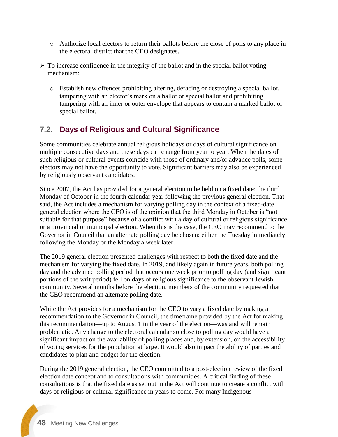- o Authorize local electors to return their ballots before the close of polls to any place in the electoral district that the CEO designates.
- $\triangleright$  To increase confidence in the integrity of the ballot and in the special ballot voting mechanism:
	- o Establish new offences prohibiting altering, defacing or destroying a special ballot, tampering with an elector's mark on a ballot or special ballot and prohibiting tampering with an inner or outer envelope that appears to contain a marked ballot or special ballot.

## **7.2. Days of Religious and Cultural Significance**

Some communities celebrate annual religious holidays or days of cultural significance on multiple consecutive days and these days can change from year to year. When the dates of such religious or cultural events coincide with those of ordinary and/or advance polls, some electors may not have the opportunity to vote. Significant barriers may also be experienced by religiously observant candidates.

Since 2007, the Act has provided for a general election to be held on a fixed date: the third Monday of October in the fourth calendar year following the previous general election. That said, the Act includes a mechanism for varying polling day in the context of a fixed-date general election where the CEO is of the opinion that the third Monday in October is "not suitable for that purpose" because of a conflict with a day of cultural or religious significance or a provincial or municipal election. When this is the case, the CEO may recommend to the Governor in Council that an alternate polling day be chosen: either the Tuesday immediately following the Monday or the Monday a week later.

The 2019 general election presented challenges with respect to both the fixed date and the mechanism for varying the fixed date. In 2019, and likely again in future years, both polling day and the advance polling period that occurs one week prior to polling day (and significant portions of the writ period) fell on days of religious significance to the observant Jewish community. Several months before the election, members of the community requested that the CEO recommend an alternate polling date.

While the Act provides for a mechanism for the CEO to vary a fixed date by making a recommendation to the Governor in Council, the timeframe provided by the Act for making this recommendation—up to August 1 in the year of the election—was and will remain problematic. Any change to the electoral calendar so close to polling day would have a significant impact on the availability of polling places and, by extension, on the accessibility of voting services for the population at large. It would also impact the ability of parties and candidates to plan and budget for the election.

During the 2019 general election, the CEO committed to a post-election review of the fixed election date concept and to consultations with communities. A critical finding of these consultations is that the fixed date as set out in the Act will continue to create a conflict with days of religious or cultural significance in years to come. For many Indigenous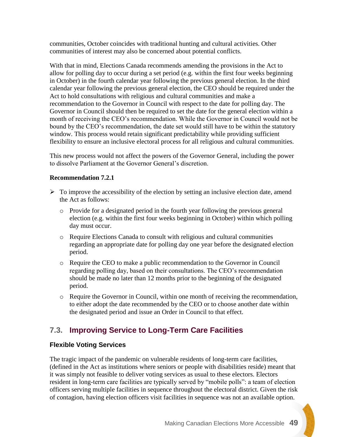communities, October coincides with traditional hunting and cultural activities. Other communities of interest may also be concerned about potential conflicts.

With that in mind, Elections Canada recommends amending the provisions in the Act to allow for polling day to occur during a set period (e.g. within the first four weeks beginning in October) in the fourth calendar year following the previous general election. In the third calendar year following the previous general election, the CEO should be required under the Act to hold consultations with religious and cultural communities and make a recommendation to the Governor in Council with respect to the date for polling day. The Governor in Council should then be required to set the date for the general election within a month of receiving the CEO's recommendation. While the Governor in Council would not be bound by the CEO's recommendation, the date set would still have to be within the statutory window. This process would retain significant predictability while providing sufficient flexibility to ensure an inclusive electoral process for all religious and cultural communities.

This new process would not affect the powers of the Governor General, including the power to dissolve Parliament at the Governor General's discretion.

### **Recommendation 7.2.1**

- $\triangleright$  To improve the accessibility of the election by setting an inclusive election date, amend the Act as follows:
	- o Provide for a designated period in the fourth year following the previous general election (e.g. within the first four weeks beginning in October) within which polling day must occur.
	- o Require Elections Canada to consult with religious and cultural communities regarding an appropriate date for polling day one year before the designated election period.
	- o Require the CEO to make a public recommendation to the Governor in Council regarding polling day, based on their consultations. The CEO's recommendation should be made no later than 12 months prior to the beginning of the designated period.
	- o Require the Governor in Council, within one month of receiving the recommendation, to either adopt the date recommended by the CEO or to choose another date within the designated period and issue an Order in Council to that effect.

## **7.3. Improving Service to Long-Term Care Facilities**

### **Flexible Voting Services**

The tragic impact of the pandemic on vulnerable residents of long-term care facilities, (defined in the Act as institutions where seniors or people with disabilities reside) meant that it was simply not feasible to deliver voting services as usual to these electors. Electors resident in long-term care facilities are typically served by "mobile polls": a team of election officers serving multiple facilities in sequence throughout the electoral district. Given the risk of contagion, having election officers visit facilities in sequence was not an available option.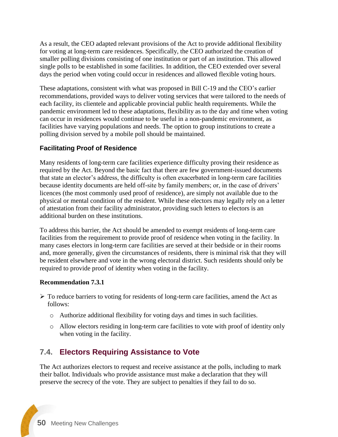As a result, the CEO adapted relevant provisions of the Act to provide additional flexibility for voting at long-term care residences. Specifically, the CEO authorized the creation of smaller polling divisions consisting of one institution or part of an institution. This allowed single polls to be established in some facilities. In addition, the CEO extended over several days the period when voting could occur in residences and allowed flexible voting hours.

These adaptations, consistent with what was proposed in Bill C-19 and the CEO's earlier recommendations, provided ways to deliver voting services that were tailored to the needs of each facility, its clientele and applicable provincial public health requirements. While the pandemic environment led to these adaptations, flexibility as to the day and time when voting can occur in residences would continue to be useful in a non-pandemic environment, as facilities have varying populations and needs. The option to group institutions to create a polling division served by a mobile poll should be maintained.

### **Facilitating Proof of Residence**

Many residents of long-term care facilities experience difficulty proving their residence as required by the Act. Beyond the basic fact that there are few government-issued documents that state an elector's address, the difficulty is often exacerbated in long-term care facilities because identity documents are held off-site by family members; or, in the case of drivers' licences (the most commonly used proof of residence), are simply not available due to the physical or mental condition of the resident. While these electors may legally rely on a letter of attestation from their facility administrator, providing such letters to electors is an additional burden on these institutions.

To address this barrier, the Act should be amended to exempt residents of long-term care facilities from the requirement to provide proof of residence when voting in the facility. In many cases electors in long-term care facilities are served at their bedside or in their rooms and, more generally, given the circumstances of residents, there is minimal risk that they will be resident elsewhere and vote in the wrong electoral district. Such residents should only be required to provide proof of identity when voting in the facility.

### **Recommendation 7.3.1**

- $\triangleright$  To reduce barriers to voting for residents of long-term care facilities, amend the Act as follows:
	- o Authorize additional flexibility for voting days and times in such facilities.
	- o Allow electors residing in long-term care facilities to vote with proof of identity only when voting in the facility.

## **7.4. Electors Requiring Assistance to Vote**

The Act authorizes electors to request and receive assistance at the polls, including to mark their ballot. Individuals who provide assistance must make a declaration that they will preserve the secrecy of the vote. They are subject to penalties if they fail to do so.

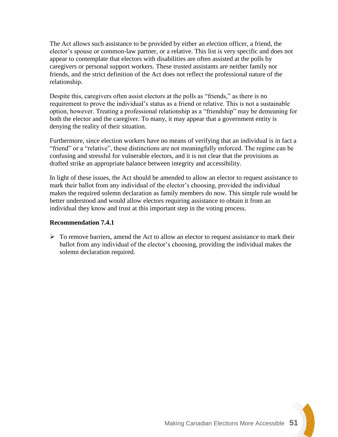The Act allows such assistance to be provided by either an election officer, a friend, the elector's spouse or common-law partner, or a relative. This list is very specific and does not appear to contemplate that electors with disabilities are often assisted at the polls by caregivers or personal support workers. These trusted assistants are neither family nor friends, and the strict definition of the Act does not reflect the professional nature of the relationship.

Despite this, caregivers often assist electors at the polls as "friends," as there is no requirement to prove the individual's status as a friend or relative. This is not a sustainable option, however. Treating a professional relationship as a "friendship" may be demeaning for both the elector and the caregiver. To many, it may appear that a government entity is denying the reality of their situation.

Furthermore, since election workers have no means of verifying that an individual is in fact a "friend" or a "relative", these distinctions are not meaningfully enforced. The regime can be confusing and stressful for vulnerable electors, and it is not clear that the provisions as drafted strike an appropriate balance between integrity and accessibility.

In light of these issues, the Act should be amended to allow an elector to request assistance to mark their ballot from any individual of the elector's choosing, provided the individual makes the required solemn declaration as family members do now. This simple rule would be better understood and would allow electors requiring assistance to obtain it from an individual they know and trust at this important step in the voting process.

#### **Recommendation 7.4.1**

 $\triangleright$  To remove barriers, amend the Act to allow an elector to request assistance to mark their ballot from any individual of the elector's choosing, providing the individual makes the solemn declaration required.

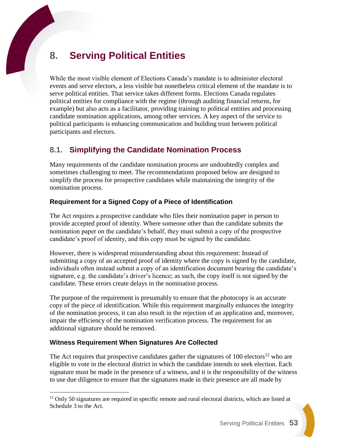# **8. Serving Political Entities**

While the most visible element of Elections Canada's mandate is to administer electoral events and serve electors, a less visible but nonetheless critical element of the mandate is to serve political entities. That service takes different forms. Elections Canada regulates political entities for compliance with the regime (through auditing financial returns, for example) but also acts as a facilitator, providing training to political entities and processing candidate nomination applications, among other services. A key aspect of the service to political participants is enhancing communication and building trust between political participants and electors.

## **8.1. Simplifying the Candidate Nomination Process**

Many requirements of the candidate nomination process are undoubtedly complex and sometimes challenging to meet. The recommendations proposed below are designed to simplify the process for prospective candidates while maintaining the integrity of the nomination process.

### **Requirement for a Signed Copy of a Piece of Identification**

The Act requires a prospective candidate who files their nomination paper in person to provide accepted proof of identity. Where someone other than the candidate submits the nomination paper on the candidate's behalf, they must submit a copy of the prospective candidate's proof of identity, and this copy must be signed by the candidate.

However, there is widespread misunderstanding about this requirement: Instead of submitting a copy of an accepted proof of identity where the copy is signed by the candidate, individuals often instead submit a copy of an identification document bearing the candidate's signature*,* e.g. the candidate's driver's licence; as such, the copy itself is not signed by the candidate. These errors create delays in the nomination process.

The purpose of the requirement is presumably to ensure that the photocopy is an accurate copy of the piece of identification. While this requirement marginally enhances the integrity of the nomination process, it can also result in the rejection of an application and, moreover, impair the efficiency of the nomination verification process. The requirement for an additional signature should be removed.

### **Witness Requirement When Signatures Are Collected**

 $\overline{a}$ 

The Act requires that prospective candidates gather the signatures of  $100$  electors<sup>12</sup> who are eligible to vote in the electoral district in which the candidate intends to seek election. Each signature must be made in the presence of a witness, and it is the responsibility of the witness to use due diligence to ensure that the signatures made in their presence are all made by

<sup>&</sup>lt;sup>12</sup> Only 50 signatures are required in specific remote and rural electoral districts, which are listed at Schedule 3 to the Act.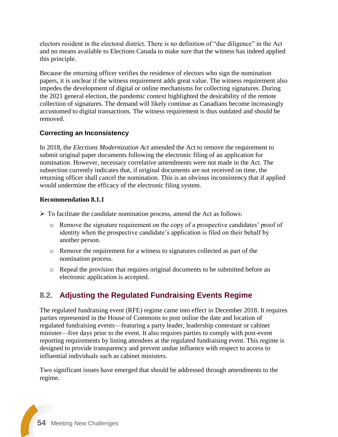electors resident in the electoral district. There is no definition of "due diligence" in the Act and no means available to Elections Canada to make sure that the witness has indeed applied this principle.

Because the returning officer verifies the residence of electors who sign the nomination papers, it is unclear if the witness requirement adds great value. The witness requirement also impedes the development of digital or online mechanisms for collecting signatures. During the 2021 general election, the pandemic context highlighted the desirability of the remote collection of signatures. The demand will likely continue as Canadians become increasingly accustomed to digital transactions. The witness requirement is thus outdated and should be removed.

### **Correcting an Inconsistency**

In 2018, the *Elections Modernization Act* amended the Act to remove the requirement to submit original paper documents following the electronic filing of an application for nomination. However, necessary correlative amendments were not made in the Act. The subsection currently indicates that, if original documents are not received on time, the returning officer shall cancel the nomination. This is an obvious inconsistency that if applied would undermine the efficacy of the electronic filing system.

### **Recommendation 8.1.1**

- $\triangleright$  To facilitate the candidate nomination process, amend the Act as follows:
	- o Remove the signature requirement on the copy of a prospective candidates' proof of identity when the prospective candidate's application is filed on their behalf by another person.
	- o Remove the requirement for a witness to signatures collected as part of the nomination process.
	- o Repeal the provision that requires original documents to be submitted before an electronic application is accepted.

## **8.2. Adjusting the Regulated Fundraising Events Regime**

The regulated fundraising event (RFE) regime came into effect in December 2018. It requires parties represented in the House of Commons to post online the date and location of regulated fundraising events—featuring a party leader, leadership contestant or cabinet minister—five days prior to the event. It also requires parties to comply with post-event reporting requirements by listing attendees at the regulated fundraising event. This regime is designed to provide transparency and prevent undue influence with respect to access to influential individuals such as cabinet ministers.

Two significant issues have emerged that should be addressed through amendments to the regime.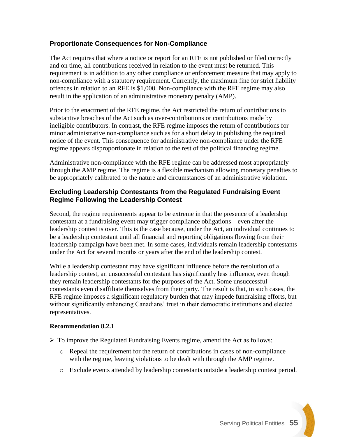### **Proportionate Consequences for Non-Compliance**

The Act requires that where a notice or report for an RFE is not published or filed correctly and on time, all contributions received in relation to the event must be returned. This requirement is in addition to any other compliance or enforcement measure that may apply to non-compliance with a statutory requirement. Currently, the maximum fine for strict liability offences in relation to an RFE is \$1,000. Non-compliance with the RFE regime may also result in the application of an administrative monetary penalty (AMP).

Prior to the enactment of the RFE regime, the Act restricted the return of contributions to substantive breaches of the Act such as over-contributions or contributions made by ineligible contributors. In contrast, the RFE regime imposes the return of contributions for minor administrative non-compliance such as for a short delay in publishing the required notice of the event. This consequence for administrative non-compliance under the RFE regime appears disproportionate in relation to the rest of the political financing regime.

Administrative non-compliance with the RFE regime can be addressed most appropriately through the AMP regime. The regime is a flexible mechanism allowing monetary penalties to be appropriately calibrated to the nature and circumstances of an administrative violation.

### **Excluding Leadership Contestants from the Regulated Fundraising Event Regime Following the Leadership Contest**

Second, the regime requirements appear to be extreme in that the presence of a leadership contestant at a fundraising event may trigger compliance obligations—even after the leadership contest is over. This is the case because, under the Act, an individual continues to be a leadership contestant until all financial and reporting obligations flowing from their leadership campaign have been met. In some cases, individuals remain leadership contestants under the Act for several months or years after the end of the leadership contest.

While a leadership contestant may have significant influence before the resolution of a leadership contest, an unsuccessful contestant has significantly less influence, even though they remain leadership contestants for the purposes of the Act. Some unsuccessful contestants even disaffiliate themselves from their party. The result is that, in such cases, the RFE regime imposes a significant regulatory burden that may impede fundraising efforts, but without significantly enhancing Canadians' trust in their democratic institutions and elected representatives.

#### **Recommendation 8.2.1**

- $\triangleright$  To improve the Regulated Fundraising Events regime, amend the Act as follows:
	- o Repeal the requirement for the return of contributions in cases of non-compliance with the regime, leaving violations to be dealt with through the AMP regime.
	- o Exclude events attended by leadership contestants outside a leadership contest period.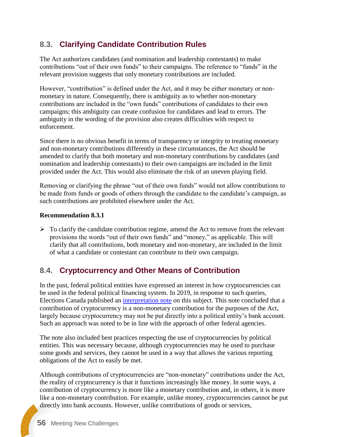## **8.3. Clarifying Candidate Contribution Rules**

The Act authorizes candidates (and nomination and leadership contestants) to make contributions "out of their own funds" to their campaigns. The reference to "funds" in the relevant provision suggests that only monetary contributions are included.

However, "contribution" is defined under the Act, and it may be either monetary or nonmonetary in nature. Consequently, there is ambiguity as to whether non-monetary contributions are included in the "own funds" contributions of candidates to their own campaigns; this ambiguity can create confusion for candidates and lead to errors. The ambiguity in the wording of the provision also creates difficulties with respect to enforcement.

Since there is no obvious benefit in terms of transparency or integrity to treating monetary and non-monetary contributions differently in these circumstances, the Act should be amended to clarify that both monetary and non-monetary contributions by candidates (and nomination and leadership contestants) to their own campaigns are included in the limit provided under the Act. This would also eliminate the risk of an uneven playing field.

Removing or clarifying the phrase "out of their own funds" would not allow contributions to be made from funds or goods of others through the candidate to the candidate's campaign, as such contributions are prohibited elsewhere under the Act.

### **Recommendation 8.3.1**

 $\triangleright$  To clarify the candidate contribution regime, amend the Act to remove from the relevant provisions the words "out of their own funds" and "money," as applicable. This will clarify that all contributions, both monetary and non-monetary, are included in the limit of what a candidate or contestant can contribute to their own campaign.

## **8.4. Cryptocurrency and Other Means of Contribution**

In the past, federal political entities have expressed an interest in how cryptocurrencies can be used in the federal political financing system. In 2019, in response to such queries, Elections Canada published an [interpretation note](https://www.elections.ca/content.aspx?section=res&dir=gui/app/2019-12&document=index&lang=e) on this subject. This note concluded that a contribution of cryptocurrency is a non-monetary contribution for the purposes of the Act, largely because cryptocurrency may not be put directly into a political entity's bank account. Such an approach was noted to be in line with the approach of other federal agencies.

The note also included best practices respecting the use of cryptocurrencies by political entities. This was necessary because, although cryptocurrencies may be used to purchase some goods and services, they cannot be used in a way that allows the various reporting obligations of the Act to easily be met.

Although contributions of cryptocurrencies are "non-monetary" contributions under the Act, the reality of cryptocurrency is that it functions increasingly like money. In some ways, a contribution of cryptocurrency is more like a monetary contribution and, in others, it is more like a non-monetary contribution. For example, unlike money, cryptocurrencies cannot be put directly into bank accounts. However, unlike contributions of goods or services,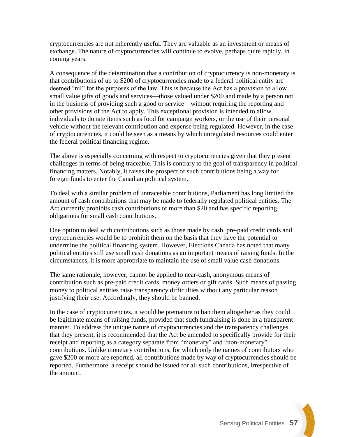cryptocurrencies are not inherently useful. They are valuable as an investment or means of exchange. The nature of cryptocurrencies will continue to evolve, perhaps quite rapidly, in coming years.

A consequence of the determination that a contribution of cryptocurrency is non-monetary is that contributions of up to \$200 of cryptocurrencies made to a federal political entity are deemed "nil" for the purposes of the law. This is because the Act has a provision to allow small value gifts of goods and services—those valued under \$200 and made by a person not in the business of providing such a good or service—without requiring the reporting and other provisions of the Act to apply. This exceptional provision is intended to allow individuals to donate items such as food for campaign workers, or the use of their personal vehicle without the relevant contribution and expense being regulated. However, in the case of cryptocurrencies, it could be seen as a means by which unregulated resources could enter the federal political financing regime.

The above is especially concerning with respect to cryptocurrencies given that they present challenges in terms of being traceable. This is contrary to the goal of transparency in political financing matters. Notably, it raises the prospect of such contributions being a way for foreign funds to enter the Canadian political system.

To deal with a similar problem of untraceable contributions, Parliament has long limited the amount of cash contributions that may be made to federally regulated political entities. The Act currently prohibits cash contributions of more than \$20 and has specific reporting obligations for small cash contributions.

One option to deal with contributions such as those made by cash, pre-paid credit cards and cryptocurrencies would be to prohibit them on the basis that they have the potential to undermine the political financing system. However, Elections Canada has noted that many political entities still use small cash donations as an important means of raising funds. In the circumstances, it is more appropriate to maintain the use of small value cash donations.

The same rationale, however, cannot be applied to near-cash, anonymous means of contribution such as pre-paid credit cards, money orders or gift cards. Such means of passing money to political entities raise transparency difficulties without any particular reason justifying their use. Accordingly, they should be banned.

In the case of cryptocurrencies, it would be premature to ban them altogether as they could be legitimate means of raising funds, provided that such fundraising is done in a transparent manner. To address the unique nature of cryptocurrencies and the transparency challenges that they present, it is recommended that the Act be amended to specifically provide for their receipt and reporting as a category separate from "monetary" and "non-monetary" contributions. Unlike monetary contributions, for which only the names of contributors who gave \$200 or more are reported, all contributions made by way of cryptocurrencies should be reported. Furthermore, a receipt should be issued for all such contributions, irrespective of the amount.

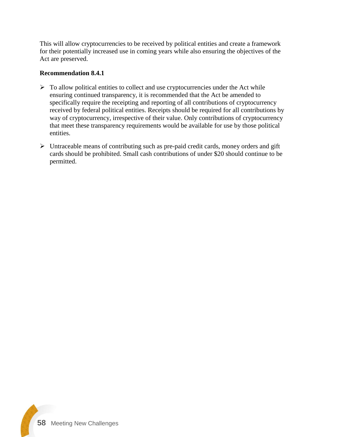This will allow cryptocurrencies to be received by political entities and create a framework for their potentially increased use in coming years while also ensuring the objectives of the Act are preserved.

#### **Recommendation 8.4.1**

- $\triangleright$  To allow political entities to collect and use cryptocurrencies under the Act while ensuring continued transparency, it is recommended that the Act be amended to specifically require the receipting and reporting of all contributions of cryptocurrency received by federal political entities. Receipts should be required for all contributions by way of cryptocurrency, irrespective of their value. Only contributions of cryptocurrency that meet these transparency requirements would be available for use by those political entities.
- ➢ Untraceable means of contributing such as pre-paid credit cards, money orders and gift cards should be prohibited. Small cash contributions of under \$20 should continue to be permitted.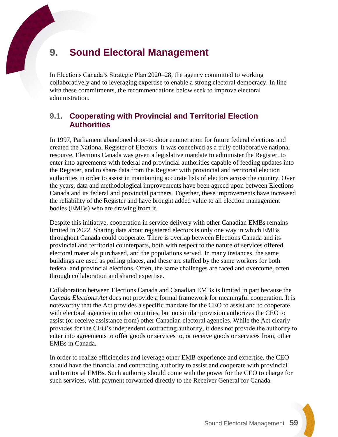# **9. Sound Electoral Management**

In Elections Canada's Strategic Plan 2020–28, the agency committed to working collaboratively and to leveraging expertise to enable a strong electoral democracy. In line with these commitments, the recommendations below seek to improve electoral administration.

### **9.1. Cooperating with Provincial and Territorial Election Authorities**

In 1997, Parliament abandoned door-to-door enumeration for future federal elections and created the National Register of Electors. It was conceived as a truly collaborative national resource. Elections Canada was given a legislative mandate to administer the Register, to enter into agreements with federal and provincial authorities capable of feeding updates into the Register, and to share data from the Register with provincial and territorial election authorities in order to assist in maintaining accurate lists of electors across the country. Over the years, data and methodological improvements have been agreed upon between Elections Canada and its federal and provincial partners. Together, these improvements have increased the reliability of the Register and have brought added value to all election management bodies (EMBs) who are drawing from it.

Despite this initiative, cooperation in service delivery with other Canadian EMBs remains limited in 2022. Sharing data about registered electors is only one way in which EMBs throughout Canada could cooperate. There is overlap between Elections Canada and its provincial and territorial counterparts, both with respect to the nature of services offered, electoral materials purchased, and the populations served. In many instances, the same buildings are used as polling places, and these are staffed by the same workers for both federal and provincial elections. Often, the same challenges are faced and overcome, often through collaboration and shared expertise.

Collaboration between Elections Canada and Canadian EMBs is limited in part because the *Canada Elections Act* does not provide a formal framework for meaningful cooperation. It is noteworthy that the Act provides a specific mandate for the CEO to assist and to cooperate with electoral agencies in other countries, but no similar provision authorizes the CEO to assist (or receive assistance from) other Canadian electoral agencies. While the Act clearly provides for the CEO's independent contracting authority, it does not provide the authority to enter into agreements to offer goods or services to, or receive goods or services from, other EMBs in Canada.

In order to realize efficiencies and leverage other EMB experience and expertise, the CEO should have the financial and contracting authority to assist and cooperate with provincial and territorial EMBs. Such authority should come with the power for the CEO to charge for such services, with payment forwarded directly to the Receiver General for Canada.

Sound Electoral Management **59**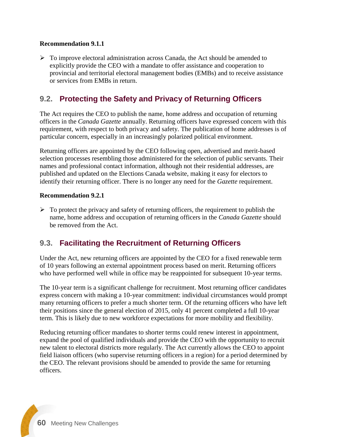### **Recommendation 9.1.1**

 $\triangleright$  To improve electoral administration across Canada, the Act should be amended to explicitly provide the CEO with a mandate to offer assistance and cooperation to provincial and territorial electoral management bodies (EMBs) and to receive assistance or services from EMBs in return.

### **9.2. Protecting the Safety and Privacy of Returning Officers**

The Act requires the CEO to publish the name, home address and occupation of returning officers in the *Canada Gazette* annually. Returning officers have expressed concern with this requirement, with respect to both privacy and safety. The publication of home addresses is of particular concern, especially in an increasingly polarized political environment.

Returning officers are appointed by the CEO following open, advertised and merit-based selection processes resembling those administered for the selection of public servants. Their names and professional contact information, although not their residential addresses, are published and updated on the Elections Canada website, making it easy for electors to identify their returning officer. There is no longer any need for the *Gazette* requirement.

### **Recommendation 9.2.1**

 $\triangleright$  To protect the privacy and safety of returning officers, the requirement to publish the name, home address and occupation of returning officers in the *Canada Gazette* should be removed from the Act.

### **9.3. Facilitating the Recruitment of Returning Officers**

Under the Act, new returning officers are appointed by the CEO for a fixed renewable term of 10 years following an external appointment process based on merit. Returning officers who have performed well while in office may be reappointed for subsequent 10-year terms.

The 10-year term is a significant challenge for recruitment. Most returning officer candidates express concern with making a 10-year commitment: individual circumstances would prompt many returning officers to prefer a much shorter term. Of the returning officers who have left their positions since the general election of 2015, only 41 percent completed a full 10-year term. This is likely due to new workforce expectations for more mobility and flexibility.

Reducing returning officer mandates to shorter terms could renew interest in appointment, expand the pool of qualified individuals and provide the CEO with the opportunity to recruit new talent to electoral districts more regularly. The Act currently allows the CEO to appoint field liaison officers (who supervise returning officers in a region) for a period determined by the CEO. The relevant provisions should be amended to provide the same for returning officers.

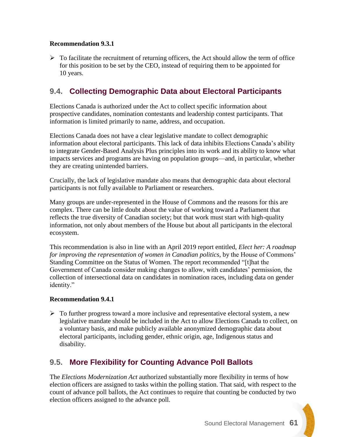### **Recommendation 9.3.1**

 $\triangleright$  To facilitate the recruitment of returning officers, the Act should allow the term of office for this position to be set by the CEO, instead of requiring them to be appointed for 10 years.

### **9.4. Collecting Demographic Data about Electoral Participants**

Elections Canada is authorized under the Act to collect specific information about prospective candidates, nomination contestants and leadership contest participants. That information is limited primarily to name, address, and occupation.

Elections Canada does not have a clear legislative mandate to collect demographic information about electoral participants. This lack of data inhibits Elections Canada's ability to integrate Gender-Based Analysis Plus principles into its work and its ability to know what impacts services and programs are having on population groups—and, in particular, whether they are creating unintended barriers.

Crucially, the lack of legislative mandate also means that demographic data about electoral participants is not fully available to Parliament or researchers.

Many groups are under-represented in the House of Commons and the reasons for this are complex. There can be little doubt about the value of working toward a Parliament that reflects the true diversity of Canadian society; but that work must start with high-quality information, not only about members of the House but about all participants in the electoral ecosystem.

This recommendation is also in line with an April 2019 report entitled, *Elect her: A roadmap for improving the representation of women in Canadian politics,* by the House of Commons' Standing Committee on the Status of Women. The report recommended "[t]hat the Government of Canada consider making changes to allow, with candidates' permission, the collection of intersectional data on candidates in nomination races, including data on gender identity."

#### **Recommendation 9.4.1**

 $\triangleright$  To further progress toward a more inclusive and representative electoral system, a new legislative mandate should be included in the Act to allow Elections Canada to collect, on a voluntary basis, and make publicly available anonymized demographic data about electoral participants, including gender, ethnic origin, age, Indigenous status and disability.

## **9.5. More Flexibility for Counting Advance Poll Ballots**

The *Elections Modernization Act* authorized substantially more flexibility in terms of how election officers are assigned to tasks within the polling station. That said, with respect to the count of advance poll ballots, the Act continues to require that counting be conducted by two election officers assigned to the advance poll.

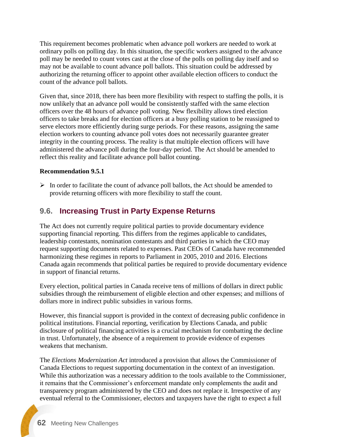This requirement becomes problematic when advance poll workers are needed to work at ordinary polls on polling day. In this situation, the specific workers assigned to the advance poll may be needed to count votes cast at the close of the polls on polling day itself and so may not be available to count advance poll ballots. This situation could be addressed by authorizing the returning officer to appoint other available election officers to conduct the count of the advance poll ballots.

Given that, since 2018, there has been more flexibility with respect to staffing the polls, it is now unlikely that an advance poll would be consistently staffed with the same election officers over the 48 hours of advance poll voting. New flexibility allows tired election officers to take breaks and for election officers at a busy polling station to be reassigned to serve electors more efficiently during surge periods. For these reasons, assigning the same election workers to counting advance poll votes does not necessarily guarantee greater integrity in the counting process. The reality is that multiple election officers will have administered the advance poll during the four-day period. The Act should be amended to reflect this reality and facilitate advance poll ballot counting.

### **Recommendation 9.5.1**

 $\triangleright$  In order to facilitate the count of advance poll ballots, the Act should be amended to provide returning officers with more flexibility to staff the count.

### **9.6. Increasing Trust in Party Expense Returns**

The Act does not currently require political parties to provide documentary evidence supporting financial reporting. This differs from the regimes applicable to candidates, leadership contestants, nomination contestants and third parties in which the CEO may request supporting documents related to expenses. Past CEOs of Canada have recommended harmonizing these regimes in reports to Parliament in 2005, 2010 and 2016. Elections Canada again recommends that political parties be required to provide documentary evidence in support of financial returns.

Every election, political parties in Canada receive tens of millions of dollars in direct public subsidies through the reimbursement of eligible election and other expenses; and millions of dollars more in indirect public subsidies in various forms.

However, this financial support is provided in the context of decreasing public confidence in political institutions. Financial reporting, verification by Elections Canada, and public disclosure of political financing activities is a crucial mechanism for combatting the decline in trust. Unfortunately, the absence of a requirement to provide evidence of expenses weakens that mechanism.

The *Elections Modernization Act* introduced a provision that allows the Commissioner of Canada Elections to request supporting documentation in the context of an investigation. While this authorization was a necessary addition to the tools available to the Commissioner, it remains that the Commissioner's enforcement mandate only complements the audit and transparency program administered by the CEO and does not replace it. Irrespective of any eventual referral to the Commissioner, electors and taxpayers have the right to expect a full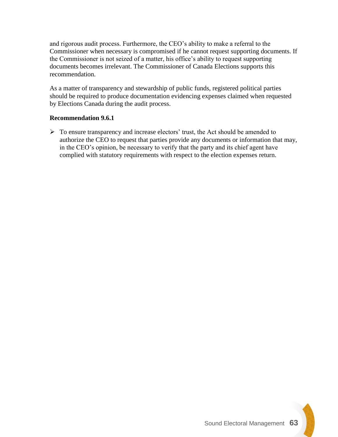and rigorous audit process. Furthermore, the CEO's ability to make a referral to the Commissioner when necessary is compromised if he cannot request supporting documents. If the Commissioner is not seized of a matter, his office's ability to request supporting documents becomes irrelevant. The Commissioner of Canada Elections supports this recommendation.

As a matter of transparency and stewardship of public funds, registered political parties should be required to produce documentation evidencing expenses claimed when requested by Elections Canada during the audit process.

### **Recommendation 9.6.1**

➢ To ensure transparency and increase electors' trust, the Act should be amended to authorize the CEO to request that parties provide any documents or information that may, in the CEO's opinion, be necessary to verify that the party and its chief agent have complied with statutory requirements with respect to the election expenses return.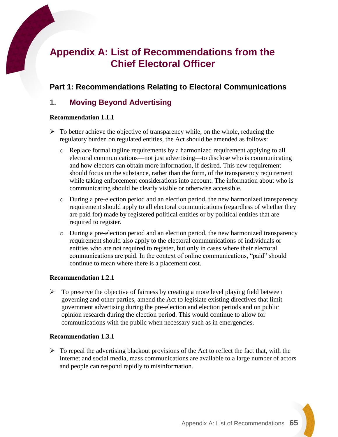# **Appendix A: List of Recommendations from the Chief Electoral Officer**

### **Part 1: Recommendations Relating to Electoral Communications**

### **1. Moving Beyond Advertising**

#### **Recommendation 1.1.1**

- $\triangleright$  To better achieve the objective of transparency while, on the whole, reducing the regulatory burden on regulated entities, the Act should be amended as follows:
	- o Replace formal tagline requirements by a harmonized requirement applying to all electoral communications—not just advertising—to disclose who is communicating and how electors can obtain more information, if desired. This new requirement should focus on the substance, rather than the form, of the transparency requirement while taking enforcement considerations into account. The information about who is communicating should be clearly visible or otherwise accessible.
	- o During a pre-election period and an election period, the new harmonized transparency requirement should apply to all electoral communications (regardless of whether they are paid for) made by registered political entities or by political entities that are required to register.
	- o During a pre-election period and an election period, the new harmonized transparency requirement should also apply to the electoral communications of individuals or entities who are not required to register, but only in cases where their electoral communications are paid. In the context of online communications, "paid" should continue to mean where there is a placement cost.

#### **Recommendation 1.2.1**

 $\triangleright$  To preserve the objective of fairness by creating a more level playing field between governing and other parties, amend the Act to legislate existing directives that limit government advertising during the pre-election and election periods and on public opinion research during the election period. This would continue to allow for communications with the public when necessary such as in emergencies.

#### **Recommendation 1.3.1**

 $\triangleright$  To repeal the advertising blackout provisions of the Act to reflect the fact that, with the Internet and social media, mass communications are available to a large number of actors and people can respond rapidly to misinformation.

Appendix A: List of Recommendations **65**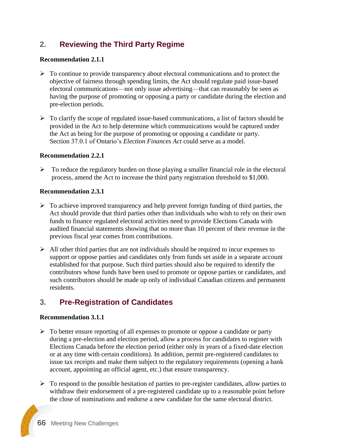## **2. Reviewing the Third Party Regime**

### **Recommendation 2.1.1**

- $\triangleright$  To continue to provide transparency about electoral communications and to protect the objective of fairness through spending limits, the Act should regulate paid issue-based electoral communications—not only issue advertising—that can reasonably be seen as having the purpose of promoting or opposing a party or candidate during the election and pre-election periods.
- ➢ To clarify the scope of regulated issue-based communications, a list of factors should be provided in the Act to help determine which communications would be captured under the Act as being for the purpose of promoting or opposing a candidate or party. Section 37.0.1 of Ontario's *Election Finances Act* could serve as a model.

### **Recommendation 2.2.1**

 $\triangleright$  To reduce the regulatory burden on those playing a smaller financial role in the electoral process, amend the Act to increase the third party registration threshold to \$1,000.

### **Recommendation 2.3.1**

- $\triangleright$  To achieve improved transparency and help prevent foreign funding of third parties, the Act should provide that third parties other than individuals who wish to rely on their own funds to finance regulated electoral activities need to provide Elections Canada with audited financial statements showing that no more than 10 percent of their revenue in the previous fiscal year comes from contributions.
- $\triangleright$  All other third parties that are not individuals should be required to incur expenses to support or oppose parties and candidates only from funds set aside in a separate account established for that purpose. Such third parties should also be required to identify the contributors whose funds have been used to promote or oppose parties or candidates, and such contributors should be made up only of individual Canadian citizens and permanent residents.

## **3. Pre-Registration of Candidates**

#### **Recommendation 3.1.1**

- $\triangleright$  To better ensure reporting of all expenses to promote or oppose a candidate or party during a pre-election and election period, allow a process for candidates to register with Elections Canada before the election period (either only in years of a fixed-date election or at any time with certain conditions). In addition, permit pre-registered candidates to issue tax receipts and make them subject to the regulatory requirements (opening a bank account, appointing an official agent, etc.) that ensure transparency.
- $\triangleright$  To respond to the possible hesitation of parties to pre-register candidates, allow parties to withdraw their endorsement of a pre-registered candidate up to a reasonable point before the close of nominations and endorse a new candidate for the same electoral district.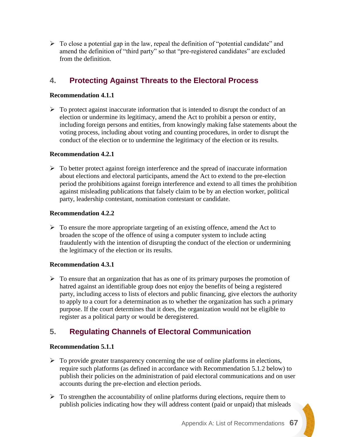$\triangleright$  To close a potential gap in the law, repeal the definition of "potential candidate" and amend the definition of "third party" so that "pre-registered candidates" are excluded from the definition.

## **4. Protecting Against Threats to the Electoral Process**

### **Recommendation 4.1.1**

 $\triangleright$  To protect against inaccurate information that is intended to disrupt the conduct of an election or undermine its legitimacy, amend the Act to prohibit a person or entity, including foreign persons and entities, from knowingly making false statements about the voting process, including about voting and counting procedures, in order to disrupt the conduct of the election or to undermine the legitimacy of the election or its results.

### **Recommendation 4.2.1**

➢ To better protect against foreign interference and the spread of inaccurate information about elections and electoral participants, amend the Act to extend to the pre-election period the prohibitions against foreign interference and extend to all times the prohibition against misleading publications that falsely claim to be by an election worker, political party, leadership contestant, nomination contestant or candidate.

### **Recommendation 4.2.2**

 $\triangleright$  To ensure the more appropriate targeting of an existing offence, amend the Act to broaden the scope of the offence of using a computer system to include acting fraudulently with the intention of disrupting the conduct of the election or undermining the legitimacy of the election or its results.

### **Recommendation 4.3.1**

 $\triangleright$  To ensure that an organization that has as one of its primary purposes the promotion of hatred against an identifiable group does not enjoy the benefits of being a registered party, including access to lists of electors and public financing, give electors the authority to apply to a court for a determination as to whether the organization has such a primary purpose. If the court determines that it does, the organization would not be eligible to register as a political party or would be deregistered.

## **5. Regulating Channels of Electoral Communication**

#### **Recommendation 5.1.1**

- $\triangleright$  To provide greater transparency concerning the use of online platforms in elections, require such platforms (as defined in accordance with Recommendation 5.1.2 below) to publish their policies on the administration of paid electoral communications and on user accounts during the pre-election and election periods.
- $\triangleright$  To strengthen the accountability of online platforms during elections, require them to publish policies indicating how they will address content (paid or unpaid) that misleads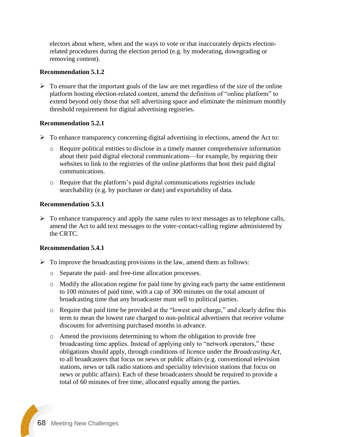electors about where, when and the ways to vote or that inaccurately depicts electionrelated procedures during the election period (e.g. by moderating, downgrading or removing content).

#### **Recommendation 5.1.2**

 $\triangleright$  To ensure that the important goals of the law are met regardless of the size of the online platform hosting election-related content, amend the definition of "online platform" to extend beyond only those that sell advertising space and eliminate the minimum monthly threshold requirement for digital advertising registries.

### **Recommendation 5.2.1**

- ➢ To enhance transparency concerning digital advertising in elections, amend the Act to:
	- o Require political entities to disclose in a timely manner comprehensive information about their paid digital electoral communications—for example, by requiring their websites to link to the registries of the online platforms that host their paid digital communications.
	- o Require that the platform's paid digital communications registries include searchability (e.g. by purchaser or date) and exportability of data.

### **Recommendation 5.3.1**

 $\triangleright$  To enhance transparency and apply the same rules to text messages as to telephone calls, amend the Act to add text messages to the voter-contact-calling regime administered by the CRTC.

### **Recommendation 5.4.1**

- $\triangleright$  To improve the broadcasting provisions in the law, amend them as follows:
	- o Separate the paid- and free-time allocation processes.
	- o Modify the allocation regime for paid time by giving each party the same entitlement to 100 minutes of paid time, with a cap of 300 minutes on the total amount of broadcasting time that any broadcaster must sell to political parties.
	- o Require that paid time be provided at the "lowest unit charge," and clearly define this term to mean the lowest rate charged to non-political advertisers that receive volume discounts for advertising purchased months in advance.
	- o Amend the provisions determining to whom the obligation to provide free broadcasting time applies. Instead of applying only to "network operators," these obligations should apply, through conditions of licence under the *Broadcasting Act*, to all broadcasters that focus on news or public affairs (e.g. conventional television stations, news or talk radio stations and speciality television stations that focus on news or public affairs). Each of these broadcasters should be required to provide a total of 60 minutes of free time, allocated equally among the parties.

**68** Meeting New Challenges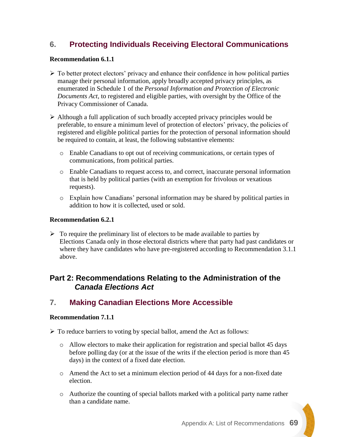### **6. Protecting Individuals Receiving Electoral Communications**

#### **Recommendation 6.1.1**

- ➢ To better protect electors' privacy and enhance their confidence in how political parties manage their personal information, apply broadly accepted privacy principles, as enumerated in Schedule 1 of the *Personal Information and Protection of Electronic Documents Act*, to registered and eligible parties, with oversight by the Office of the Privacy Commissioner of Canada.
- ➢ Although a full application of such broadly accepted privacy principles would be preferable, to ensure a minimum level of protection of electors' privacy, the policies of registered and eligible political parties for the protection of personal information should be required to contain, at least, the following substantive elements:
	- o Enable Canadians to opt out of receiving communications, or certain types of communications, from political parties.
	- o Enable Canadians to request access to, and correct, inaccurate personal information that is held by political parties (with an exemption for frivolous or vexatious requests).
	- o Explain how Canadians' personal information may be shared by political parties in addition to how it is collected, used or sold.

#### **Recommendation 6.2.1**

 $\triangleright$  To require the preliminary list of electors to be made available to parties by Elections Canada only in those electoral districts where that party had past candidates or where they have candidates who have pre-registered according to Recommendation 3.1.1 above.

### **Part 2: Recommendations Relating to the Administration of the**  *Canada Elections Act*

### **7. Making Canadian Elections More Accessible**

#### **Recommendation 7.1.1**

➢ To reduce barriers to voting by special ballot, amend the Act as follows:

- o Allow electors to make their application for registration and special ballot 45 days before polling day (or at the issue of the writs if the election period is more than 45 days) in the context of a fixed date election.
- o Amend the Act to set a minimum election period of 44 days for a non-fixed date election.
- o Authorize the counting of special ballots marked with a political party name rather than a candidate name.

Appendix A: List of Recommendations **69**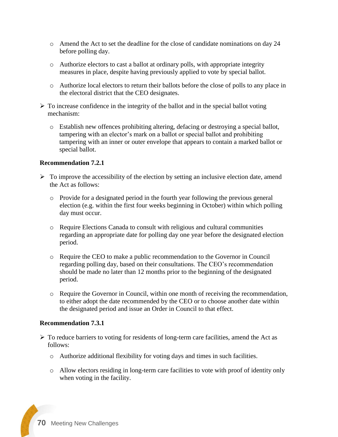- o Amend the Act to set the deadline for the close of candidate nominations on day 24 before polling day.
- o Authorize electors to cast a ballot at ordinary polls, with appropriate integrity measures in place, despite having previously applied to vote by special ballot.
- o Authorize local electors to return their ballots before the close of polls to any place in the electoral district that the CEO designates.
- $\triangleright$  To increase confidence in the integrity of the ballot and in the special ballot voting mechanism:
	- o Establish new offences prohibiting altering, defacing or destroying a special ballot, tampering with an elector's mark on a ballot or special ballot and prohibiting tampering with an inner or outer envelope that appears to contain a marked ballot or special ballot.

### **Recommendation 7.2.1**

- $\triangleright$  To improve the accessibility of the election by setting an inclusive election date, amend the Act as follows:
	- o Provide for a designated period in the fourth year following the previous general election (e.g. within the first four weeks beginning in October) within which polling day must occur.
	- o Require Elections Canada to consult with religious and cultural communities regarding an appropriate date for polling day one year before the designated election period.
	- o Require the CEO to make a public recommendation to the Governor in Council regarding polling day, based on their consultations. The CEO's recommendation should be made no later than 12 months prior to the beginning of the designated period.
	- o Require the Governor in Council, within one month of receiving the recommendation, to either adopt the date recommended by the CEO or to choose another date within the designated period and issue an Order in Council to that effect.

#### **Recommendation 7.3.1**

- $\triangleright$  To reduce barriers to voting for residents of long-term care facilities, amend the Act as follows:
	- o Authorize additional flexibility for voting days and times in such facilities.
	- o Allow electors residing in long-term care facilities to vote with proof of identity only when voting in the facility.

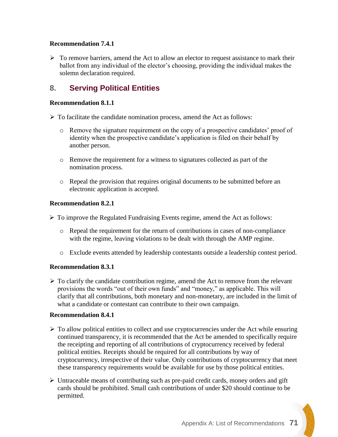### **Recommendation 7.4.1**

 $\triangleright$  To remove barriers, amend the Act to allow an elector to request assistance to mark their ballot from any individual of the elector's choosing, providing the individual makes the solemn declaration required.

### **8. Serving Political Entities**

#### **Recommendation 8.1.1**

- ➢ To facilitate the candidate nomination process, amend the Act as follows:
	- o Remove the signature requirement on the copy of a prospective candidates' proof of identity when the prospective candidate's application is filed on their behalf by another person.
	- o Remove the requirement for a witness to signatures collected as part of the nomination process.
	- o Repeal the provision that requires original documents to be submitted before an electronic application is accepted.

#### **Recommendation 8.2.1**

➢ To improve the Regulated Fundraising Events regime, amend the Act as follows:

- o Repeal the requirement for the return of contributions in cases of non-compliance with the regime, leaving violations to be dealt with through the AMP regime.
- o Exclude events attended by leadership contestants outside a leadership contest period.

#### **Recommendation 8.3.1**

 $\triangleright$  To clarify the candidate contribution regime, amend the Act to remove from the relevant provisions the words "out of their own funds" and "money," as applicable. This will clarify that all contributions, both monetary and non-monetary, are included in the limit of what a candidate or contestant can contribute to their own campaign.

#### **Recommendation 8.4.1**

- $\triangleright$  To allow political entities to collect and use cryptocurrencies under the Act while ensuring continued transparency, it is recommended that the Act be amended to specifically require the receipting and reporting of all contributions of cryptocurrency received by federal political entities. Receipts should be required for all contributions by way of cryptocurrency, irrespective of their value. Only contributions of cryptocurrency that meet these transparency requirements would be available for use by those political entities.
- ➢ Untraceable means of contributing such as pre-paid credit cards, money orders and gift cards should be prohibited. Small cash contributions of under \$20 should continue to be permitted.

Appendix A: List of Recommendations **71**